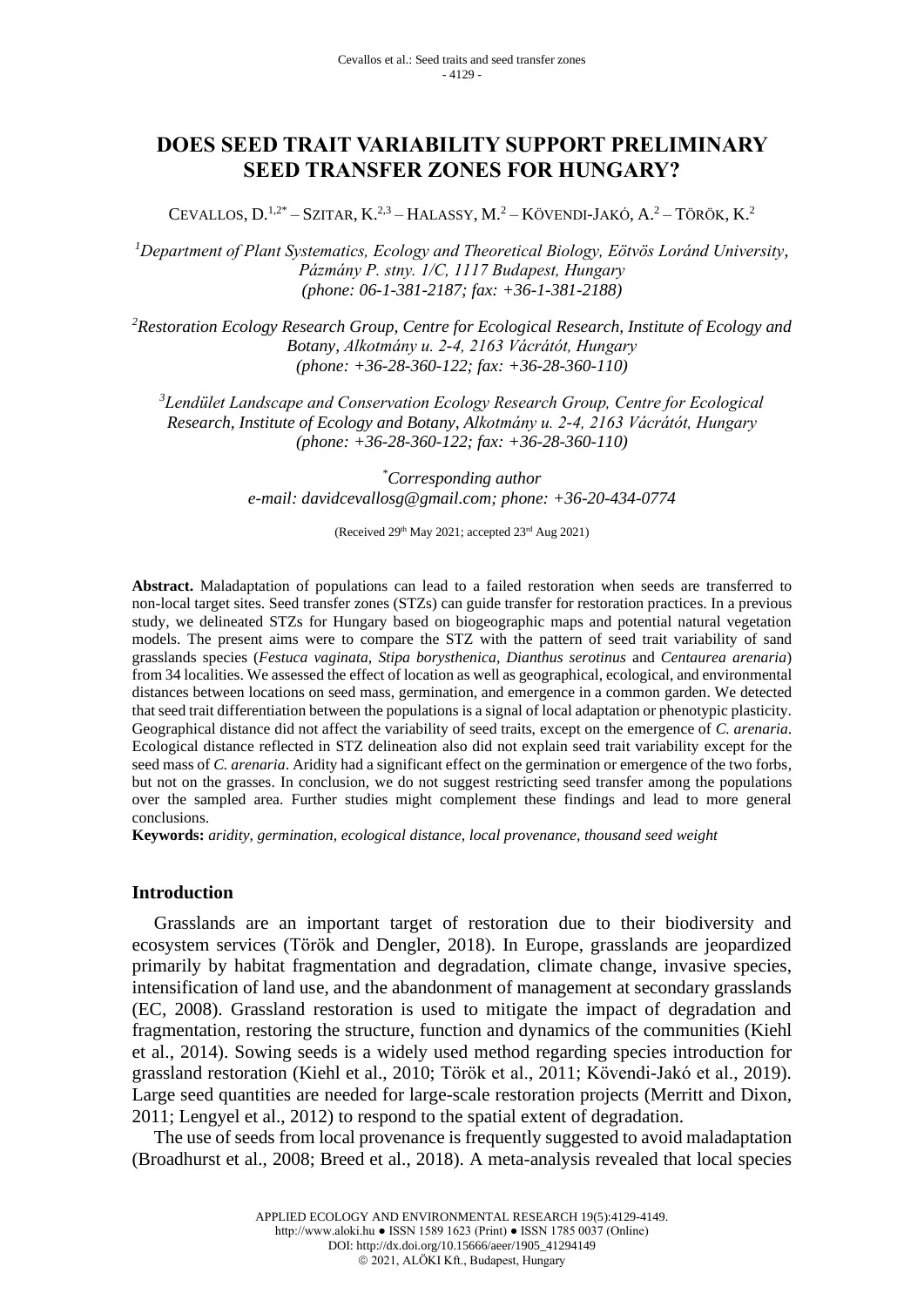# **DOES SEED TRAIT VARIABILITY SUPPORT PRELIMINARY SEED TRANSFER ZONES FOR HUNGARY?**

CEVALLOS,  $D^{1,2*}$  – SZITAR,  $K^{2,3}$  – HALASSY,  $M^2$  – KÖVENDI-JAKÓ,  $A^2$  – TÖRÖK,  $K^2$ 

*<sup>1</sup>Department of Plant Systematics, Ecology and Theoretical Biology, Eötvös Loránd University, Pázmány P. stny. 1/C, 1117 Budapest, Hungary (phone: 06-1-381-2187; fax: +36-1-381-2188)*

*<sup>2</sup>Restoration Ecology Research Group, Centre for Ecological Research, Institute of Ecology and Botany, Alkotmány u. 2-4, 2163 Vácrátót, Hungary (phone: +36-28-360-122; fax: +36-28-360-110)*

*<sup>3</sup>Lendület Landscape and Conservation Ecology Research Group, Centre for Ecological Research, Institute of Ecology and Botany, Alkotmány u. 2-4, 2163 Vácrátót, Hungary (phone: +36-28-360-122; fax: +36-28-360-110)*

> *\*Corresponding author e-mail: [davidcevallosg@gmail.com;](mailto:davidcevallosg@gmail.com) phone: +36-20-434-0774*

> > (Received 29th May 2021; accepted 23rd Aug 2021)

**Abstract.** Maladaptation of populations can lead to a failed restoration when seeds are transferred to non-local target sites. Seed transfer zones (STZs) can guide transfer for restoration practices. In a previous study, we delineated STZs for Hungary based on biogeographic maps and potential natural vegetation models. The present aims were to compare the STZ with the pattern of seed trait variability of sand grasslands species (*Festuca vaginata*, *Stipa borysthenica, Dianthus serotinus* and *Centaurea arenaria*) from 34 localities. We assessed the effect of location as well as geographical, ecological, and environmental distances between locations on seed mass, germination, and emergence in a common garden. We detected that seed trait differentiation between the populations is a signal of local adaptation or phenotypic plasticity. Geographical distance did not affect the variability of seed traits, except on the emergence of *C. arenaria*. Ecological distance reflected in STZ delineation also did not explain seed trait variability except for the seed mass of *C. arenaria*. Aridity had a significant effect on the germination or emergence of the two forbs, but not on the grasses. In conclusion, we do not suggest restricting seed transfer among the populations over the sampled area. Further studies might complement these findings and lead to more general conclusions.

**Keywords:** *aridity, germination, ecological distance, local provenance, thousand seed weight*

### **Introduction**

Grasslands are an important target of restoration due to their biodiversity and ecosystem services (Török and Dengler, 2018). In Europe, grasslands are jeopardized primarily by habitat fragmentation and degradation, climate change, invasive species, intensification of land use, and the abandonment of management at secondary grasslands (EC, 2008). Grassland restoration is used to mitigate the impact of degradation and fragmentation, restoring the structure, function and dynamics of the communities (Kiehl et al., 2014). Sowing seeds is a widely used method regarding species introduction for grassland restoration (Kiehl et al., 2010; Török et al., 2011; Kövendi-Jakó et al., 2019). Large seed quantities are needed for large-scale restoration projects (Merritt and Dixon, 2011; Lengyel et al., 2012) to respond to the spatial extent of degradation.

The use of seeds from local provenance is frequently suggested to avoid maladaptation (Broadhurst et al., 2008; Breed et al., 2018). A meta-analysis revealed that local species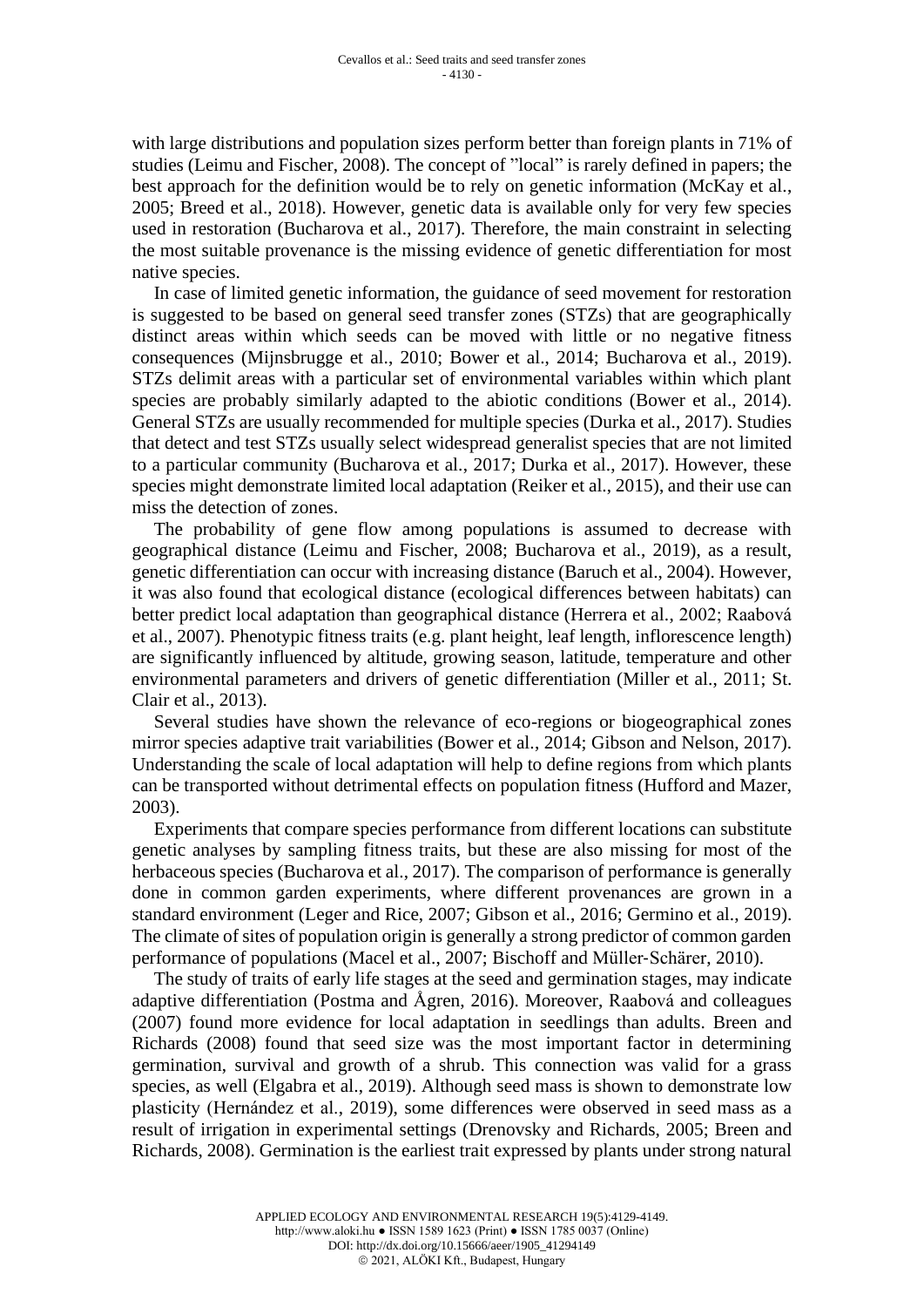with large distributions and population sizes perform better than foreign plants in 71% of studies (Leimu and Fischer, 2008). The concept of "local" is rarely defined in papers; the best approach for the definition would be to rely on genetic information (McKay et al., 2005; Breed et al., 2018). However, genetic data is available only for very few species used in restoration (Bucharova et al., 2017). Therefore, the main constraint in selecting the most suitable provenance is the missing evidence of genetic differentiation for most native species.

In case of limited genetic information, the guidance of seed movement for restoration is suggested to be based on general seed transfer zones (STZs) that are geographically distinct areas within which seeds can be moved with little or no negative fitness consequences (Mijnsbrugge et al., 2010; Bower et al., 2014; Bucharova et al., 2019). STZs delimit areas with a particular set of environmental variables within which plant species are probably similarly adapted to the abiotic conditions (Bower et al., 2014). General STZs are usually recommended for multiple species (Durka et al., 2017). Studies that detect and test STZs usually select widespread generalist species that are not limited to a particular community (Bucharova et al., 2017; Durka et al., 2017). However, these species might demonstrate limited local adaptation (Reiker et al., 2015), and their use can miss the detection of zones.

The probability of gene flow among populations is assumed to decrease with geographical distance (Leimu and Fischer, 2008; Bucharova et al., 2019), as a result, genetic differentiation can occur with increasing distance (Baruch et al., 2004). However, it was also found that ecological distance (ecological differences between habitats) can better predict local adaptation than geographical distance (Herrera et al., 2002; Raabová et al., 2007). Phenotypic fitness traits (e.g. plant height, leaf length, inflorescence length) are significantly influenced by altitude, growing season, latitude, temperature and other environmental parameters and drivers of genetic differentiation (Miller et al., 2011; St. Clair et al., 2013).

Several studies have shown the relevance of eco-regions or biogeographical zones mirror species adaptive trait variabilities (Bower et al., 2014; Gibson and Nelson, 2017). Understanding the scale of local adaptation will help to define regions from which plants can be transported without detrimental effects on population fitness (Hufford and Mazer, 2003).

Experiments that compare species performance from different locations can substitute genetic analyses by sampling fitness traits, but these are also missing for most of the herbaceous species (Bucharova et al., 2017). The comparison of performance is generally done in common garden experiments, where different provenances are grown in a standard environment (Leger and Rice, 2007; Gibson et al., 2016; Germino et al., 2019). The climate of sites of population origin is generally a strong predictor of common garden performance of populations (Macel et al., 2007; Bischoff and Müller‐Schärer, 2010).

The study of traits of early life stages at the seed and germination stages, may indicate adaptive differentiation (Postma and Ågren, 2016). Moreover, Raabová and colleagues (2007) found more evidence for local adaptation in seedlings than adults. Breen and Richards (2008) found that seed size was the most important factor in determining germination, survival and growth of a shrub. This connection was valid for a grass species, as well (Elgabra et al., 2019). Although seed mass is shown to demonstrate low plasticity (Hernández et al., 2019), some differences were observed in seed mass as a result of irrigation in experimental settings (Drenovsky and Richards, 2005; Breen and Richards, 2008). Germination is the earliest trait expressed by plants under strong natural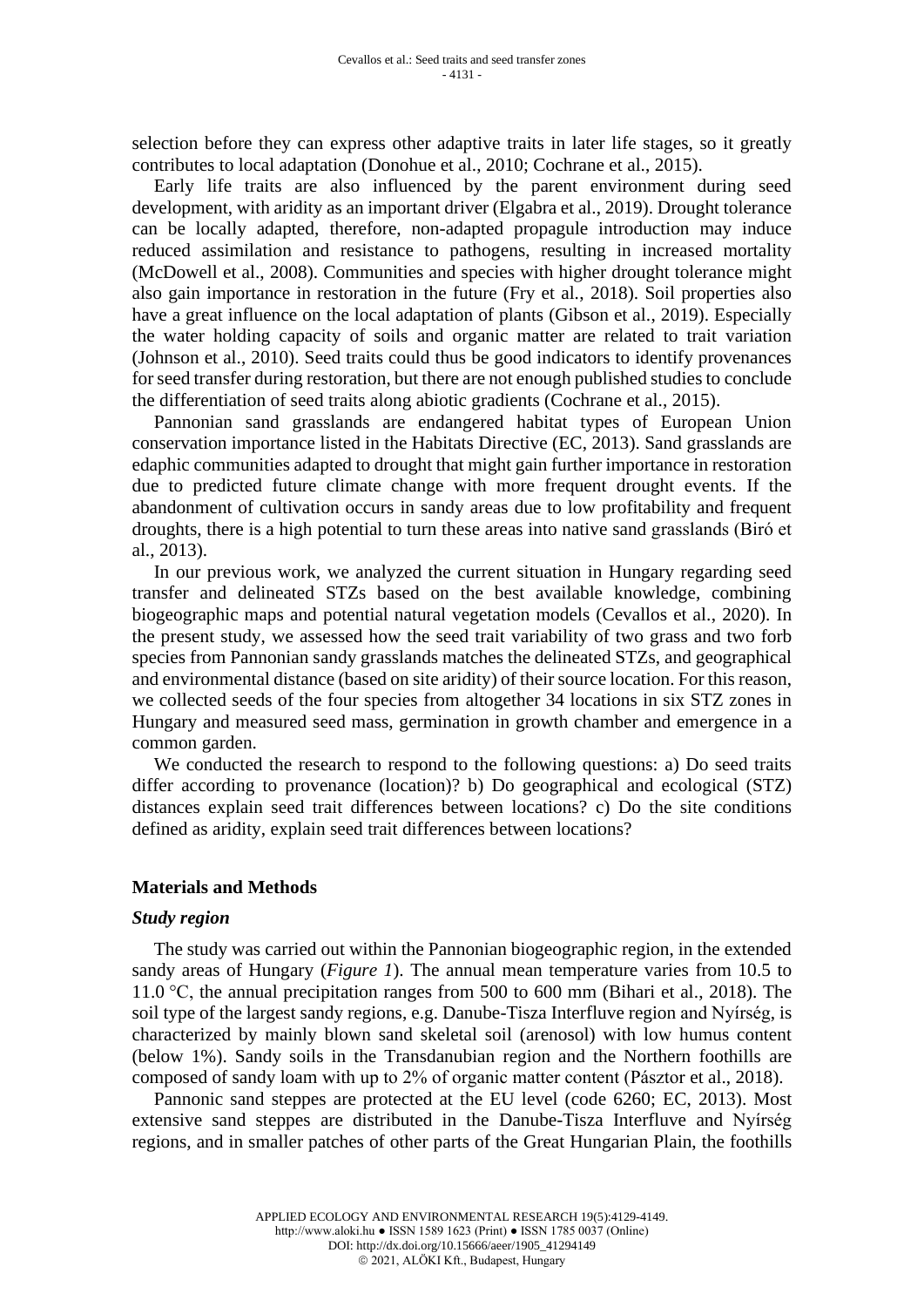selection before they can express other adaptive traits in later life stages, so it greatly contributes to local adaptation (Donohue et al., 2010; Cochrane et al., 2015).

Early life traits are also influenced by the parent environment during seed development, with aridity as an important driver (Elgabra et al., 2019). Drought tolerance can be locally adapted, therefore, non-adapted propagule introduction may induce reduced assimilation and resistance to pathogens, resulting in increased mortality (McDowell et al., 2008). Communities and species with higher drought tolerance might also gain importance in restoration in the future (Fry et al., 2018). Soil properties also have a great influence on the local adaptation of plants (Gibson et al., 2019). Especially the water holding capacity of soils and organic matter are related to trait variation (Johnson et al., 2010). Seed traits could thus be good indicators to identify provenances for seed transfer during restoration, but there are not enough published studies to conclude the differentiation of seed traits along abiotic gradients (Cochrane et al., 2015).

Pannonian sand grasslands are endangered habitat types of European Union conservation importance listed in the Habitats Directive (EC, 2013). Sand grasslands are edaphic communities adapted to drought that might gain further importance in restoration due to predicted future climate change with more frequent drought events. If the abandonment of cultivation occurs in sandy areas due to low profitability and frequent droughts, there is a high potential to turn these areas into native sand grasslands (Biró et al., 2013).

In our previous work, we analyzed the current situation in Hungary regarding seed transfer and delineated STZs based on the best available knowledge, combining biogeographic maps and potential natural vegetation models (Cevallos et al., 2020). In the present study, we assessed how the seed trait variability of two grass and two forb species from Pannonian sandy grasslands matches the delineated STZs, and geographical and environmental distance (based on site aridity) of their source location. For this reason, we collected seeds of the four species from altogether 34 locations in six STZ zones in Hungary and measured seed mass, germination in growth chamber and emergence in a common garden.

We conducted the research to respond to the following questions: a) Do seed traits differ according to provenance (location)? b) Do geographical and ecological (STZ) distances explain seed trait differences between locations? c) Do the site conditions defined as aridity, explain seed trait differences between locations?

#### **Materials and Methods**

#### *Study region*

The study was carried out within the Pannonian biogeographic region, in the extended sandy areas of Hungary (*Figure 1*). The annual mean temperature varies from 10.5 to 11.0 °C, the annual precipitation ranges from 500 to 600 mm (Bihari et al., 2018). The soil type of the largest sandy regions, e.g. Danube-Tisza Interfluve region and Nyírség, is characterized by mainly blown sand skeletal soil (arenosol) with low humus content (below 1%). Sandy soils in the Transdanubian region and the Northern foothills are composed of sandy loam with up to 2% of organic matter content (Pásztor et al., 2018).

Pannonic sand steppes are protected at the EU level (code 6260; EC, 2013). Most extensive sand steppes are distributed in the Danube-Tisza Interfluve and Nyírség regions, and in smaller patches of other parts of the Great Hungarian Plain, the foothills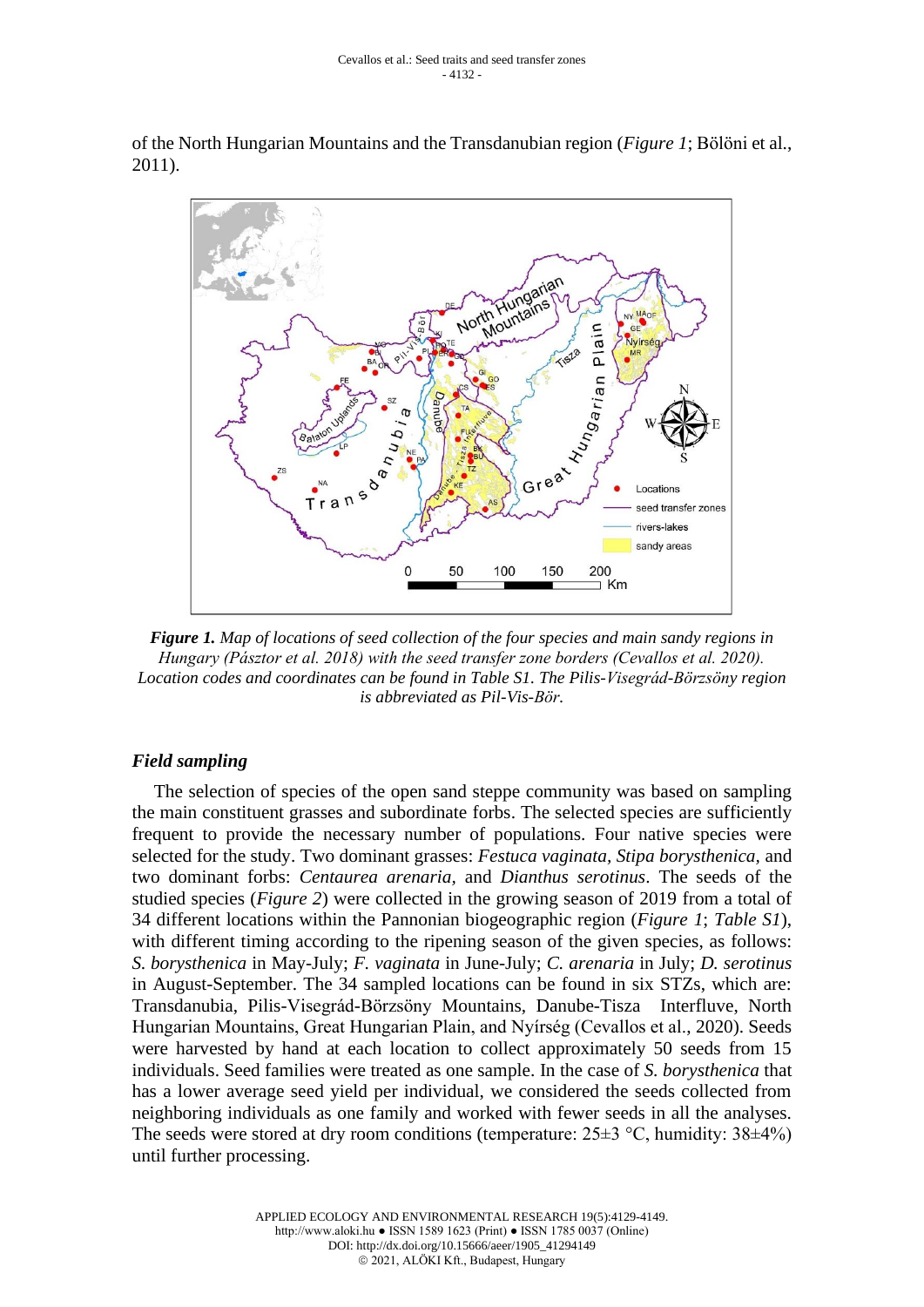of the North Hungarian Mountains and the Transdanubian region (*Figure 1*; Bölöni et al., 2011).



*Figure 1. Map of locations of seed collection of the four species and main sandy regions in Hungary (Pásztor et al. 2018) with the seed transfer zone borders (Cevallos et al. 2020). Location codes and coordinates can be found in Table S1. The Pilis-Visegrád-Börzsöny region is abbreviated as Pil-Vis-Bör.*

### *Field sampling*

The selection of species of the open sand steppe community was based on sampling the main constituent grasses and subordinate forbs. The selected species are sufficiently frequent to provide the necessary number of populations. Four native species were selected for the study. Two dominant grasses: *Festuca vaginata, Stipa borysthenica,* and two dominant forbs: *Centaurea arenaria,* and *Dianthus serotinus*. The seeds of the studied species (*Figure 2*) were collected in the growing season of 2019 from a total of 34 different locations within the Pannonian biogeographic region (*Figure 1*; *Table S1*), with different timing according to the ripening season of the given species, as follows: *S. borysthenica* in May-July; *F. vaginata* in June-July; *C. arenaria* in July; *D. serotinus* in August-September. The 34 sampled locations can be found in six STZs, which are: Transdanubia, Pilis-Visegrád-Börzsöny Mountains, Danube-Tisza Interfluve, North Hungarian Mountains, Great Hungarian Plain, and Nyírség (Cevallos et al., 2020). Seeds were harvested by hand at each location to collect approximately 50 seeds from 15 individuals. Seed families were treated as one sample. In the case of *S. borysthenica* that has a lower average seed yield per individual, we considered the seeds collected from neighboring individuals as one family and worked with fewer seeds in all the analyses. The seeds were stored at dry room conditions (temperature:  $25\pm3$  °C, humidity:  $38\pm4\%$ ) until further processing.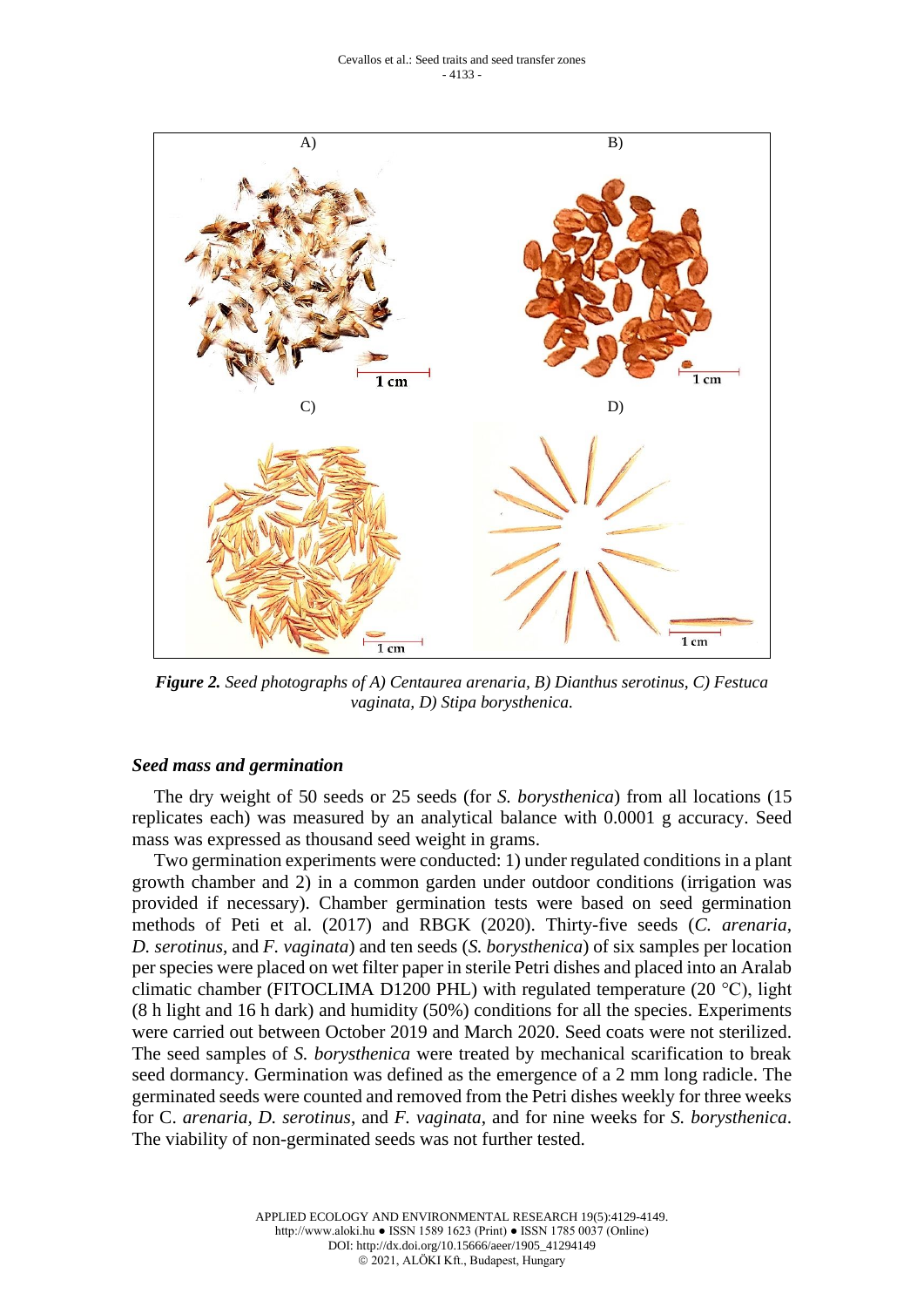

*Figure 2. Seed photographs of A) Centaurea arenaria, B) Dianthus serotinus, C) Festuca vaginata, D) Stipa borysthenica.*

### *Seed mass and germination*

The dry weight of 50 seeds or 25 seeds (for *S. borysthenica*) from all locations (15 replicates each) was measured by an analytical balance with 0.0001 g accuracy. Seed mass was expressed as thousand seed weight in grams.

Two germination experiments were conducted: 1) under regulated conditions in a plant growth chamber and 2) in a common garden under outdoor conditions (irrigation was provided if necessary). Chamber germination tests were based on seed germination methods of Peti et al. (2017) and RBGK (2020). Thirty-five seeds (*C. arenaria*, *D. serotinus*, and *F. vaginata*) and ten seeds (*S. borysthenica*) of six samples per location per species were placed on wet filter paper in sterile Petri dishes and placed into an Aralab climatic chamber (FITOCLIMA D1200 PHL) with regulated temperature (20  $^{\circ}$ C), light (8 h light and 16 h dark) and humidity (50%) conditions for all the species. Experiments were carried out between October 2019 and March 2020. Seed coats were not sterilized. The seed samples of *S. borysthenica* were treated by mechanical scarification to break seed dormancy. Germination was defined as the emergence of a 2 mm long radicle. The germinated seeds were counted and removed from the Petri dishes weekly for three weeks for C. *arenaria, D. serotinus*, and *F. vaginata*, and for nine weeks for *S. borysthenica*. The viability of non-germinated seeds was not further tested.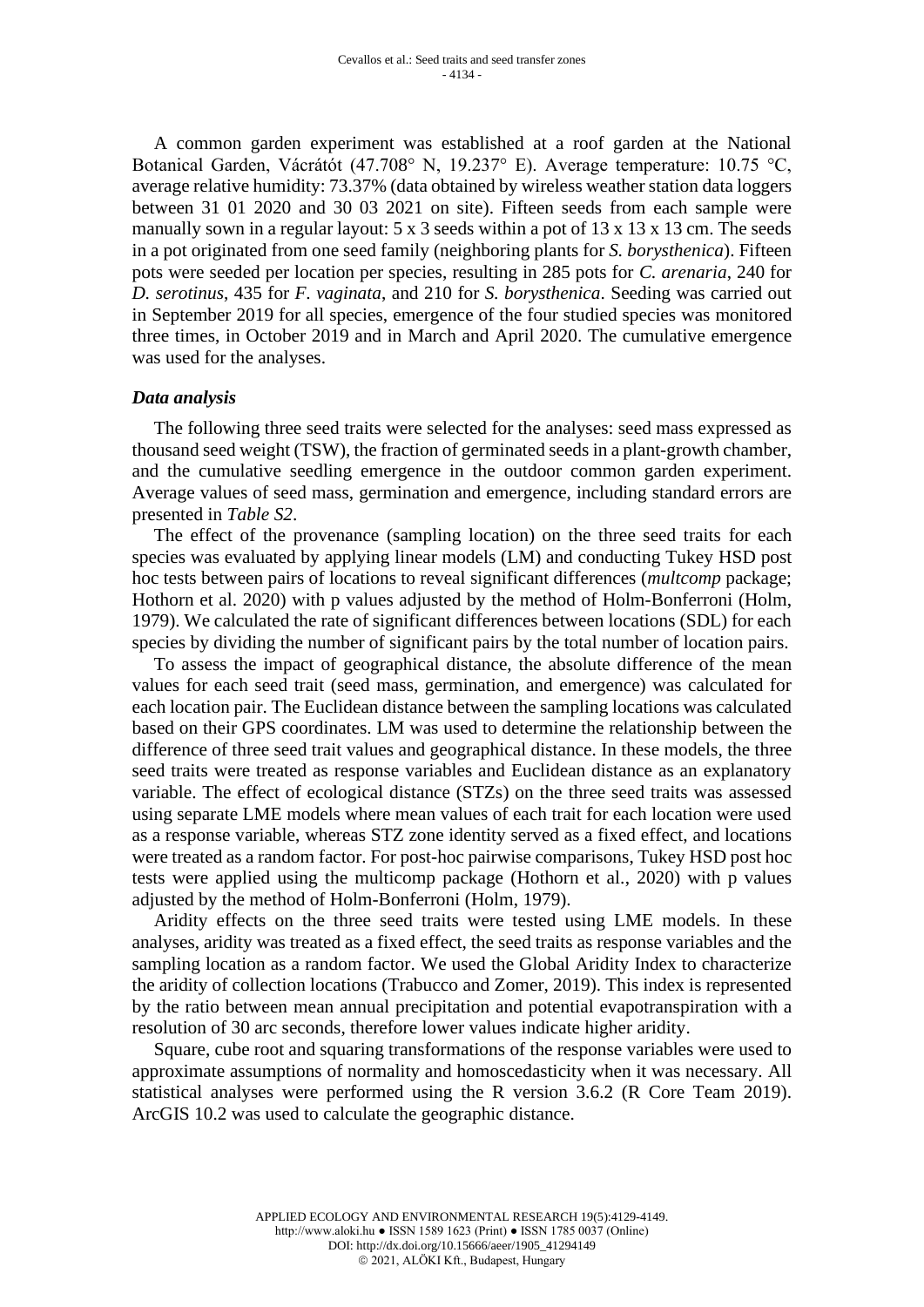A common garden experiment was established at a roof garden at the National Botanical Garden, Vácrátót (47.708° N, 19.237° E). Average temperature: 10.75 °C, average relative humidity: 73.37% (data obtained by wireless weather station data loggers between 31 01 2020 and 30 03 2021 on site). Fifteen seeds from each sample were manually sown in a regular layout:  $5 \times 3$  seeds within a pot of  $13 \times 13 \times 13$  cm. The seeds in a pot originated from one seed family (neighboring plants for *S. borysthenica*). Fifteen pots were seeded per location per species, resulting in 285 pots for *C. arenaria*, 240 for *D. serotinus*, 435 for *F. vaginata*, and 210 for *S. borysthenica*. Seeding was carried out in September 2019 for all species, emergence of the four studied species was monitored three times, in October 2019 and in March and April 2020. The cumulative emergence was used for the analyses.

### *Data analysis*

The following three seed traits were selected for the analyses: seed mass expressed as thousand seed weight (TSW), the fraction of germinated seeds in a plant-growth chamber, and the cumulative seedling emergence in the outdoor common garden experiment. Average values of seed mass, germination and emergence, including standard errors are presented in *Table S2*.

The effect of the provenance (sampling location) on the three seed traits for each species was evaluated by applying linear models (LM) and conducting Tukey HSD post hoc tests between pairs of locations to reveal significant differences (*multcomp* package; Hothorn et al. 2020) with p values adjusted by the method of Holm-Bonferroni (Holm, 1979). We calculated the rate of significant differences between locations (SDL) for each species by dividing the number of significant pairs by the total number of location pairs.

To assess the impact of geographical distance, the absolute difference of the mean values for each seed trait (seed mass, germination, and emergence) was calculated for each location pair. The Euclidean distance between the sampling locations was calculated based on their GPS coordinates. LM was used to determine the relationship between the difference of three seed trait values and geographical distance. In these models, the three seed traits were treated as response variables and Euclidean distance as an explanatory variable. The effect of ecological distance (STZs) on the three seed traits was assessed using separate LME models where mean values of each trait for each location were used as a response variable, whereas STZ zone identity served as a fixed effect, and locations were treated as a random factor. For post-hoc pairwise comparisons, Tukey HSD post hoc tests were applied using the multicomp package (Hothorn et al., 2020) with p values adjusted by the method of Holm-Bonferroni (Holm, 1979).

Aridity effects on the three seed traits were tested using LME models. In these analyses, aridity was treated as a fixed effect, the seed traits as response variables and the sampling location as a random factor. We used the Global Aridity Index to characterize the aridity of collection locations (Trabucco and Zomer, 2019). This index is represented by the ratio between mean annual precipitation and potential evapotranspiration with a resolution of 30 arc seconds, therefore lower values indicate higher aridity.

Square, cube root and squaring transformations of the response variables were used to approximate assumptions of normality and homoscedasticity when it was necessary. All statistical analyses were performed using the R version 3.6.2 (R Core Team 2019). ArcGIS 10.2 was used to calculate the geographic distance.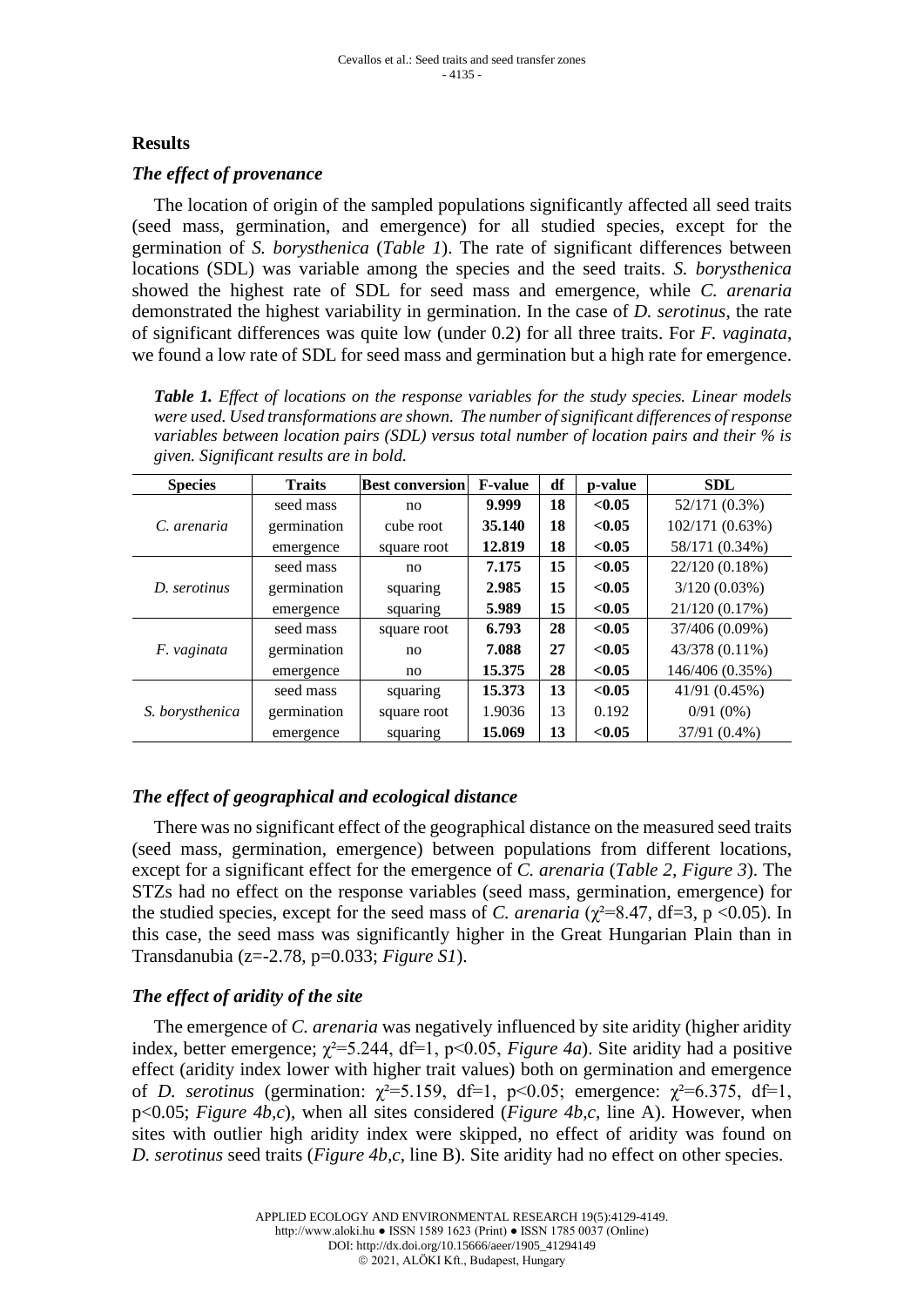## **Results**

### *The effect of provenance*

The location of origin of the sampled populations significantly affected all seed traits (seed mass, germination, and emergence) for all studied species, except for the germination of *S. borysthenica* (*Table 1*). The rate of significant differences between locations (SDL) was variable among the species and the seed traits. *S. borysthenica* showed the highest rate of SDL for seed mass and emergence, while *C. arenaria* demonstrated the highest variability in germination. In the case of *D. serotinus*, the rate of significant differences was quite low (under 0.2) for all three traits. For *F. vaginata*, we found a low rate of SDL for seed mass and germination but a high rate for emergence.

*Table 1. Effect of locations on the response variables for the study species. Linear models were used. Used transformations are shown. The number of significant differences of response variables between location pairs (SDL) versus total number of location pairs and their % is given. Significant results are in bold.*

| <b>Species</b>  | <b>Traits</b> | <b>Best conversion</b> | <b>F-value</b> | df | p-value | <b>SDL</b>      |
|-----------------|---------------|------------------------|----------------|----|---------|-----------------|
|                 | seed mass     | no                     | 9.999          | 18 | < 0.05  | 52/171 (0.3%)   |
| C. arenaria     | germination   | cube root              | 35.140         | 18 | < 0.05  | 102/171 (0.63%) |
|                 | emergence     | square root            | 12.819         | 18 | < 0.05  | 58/171 (0.34%)  |
| D. serotinus    | seed mass     | no                     | 7.175          | 15 | < 0.05  | 22/120 (0.18%)  |
|                 | germination   | squaring               | 2.985          | 15 | < 0.05  | $3/120(0.03\%)$ |
|                 | emergence     | squaring               | 5.989          | 15 | < 0.05  | 21/120 (0.17%)  |
|                 | seed mass     | square root            | 6.793          | 28 | < 0.05  | 37/406 (0.09%)  |
| F. vaginata     | germination   | no.                    | 7.088          | 27 | < 0.05  | 43/378 (0.11%)  |
|                 | emergence     | no                     | 15.375         | 28 | < 0.05  | 146/406 (0.35%) |
|                 | seed mass     | squaring               | 15.373         | 13 | < 0.05  | 41/91 (0.45%)   |
| S. borysthenica | germination   | square root            | 1.9036         | 13 | 0.192   | $0/91(0\%)$     |
|                 | emergence     | squaring               | 15.069         | 13 | < 0.05  | 37/91 (0.4%)    |

## *The effect of geographical and ecological distance*

There was no significant effect of the geographical distance on the measured seed traits (seed mass, germination, emergence) between populations from different locations, except for a significant effect for the emergence of *C. arenaria* (*Table 2, Figure 3*). The STZs had no effect on the response variables (seed mass, germination, emergence) for the studied species, except for the seed mass of *C. arenaria* ( $\chi^2$ =8.47, df=3, p <0.05). In this case, the seed mass was significantly higher in the Great Hungarian Plain than in Transdanubia (z=-2.78, p=0.033; *Figure S1*).

## *The effect of aridity of the site*

The emergence of *C. arenaria* was negatively influenced by site aridity (higher aridity index, better emergence;  $\chi^2$ =5.244, df=1, p<0.05, *Figure 4a*). Site aridity had a positive effect (aridity index lower with higher trait values) both on germination and emergence of *D. serotinus* (germination:  $\chi^2 = 5.159$ , df=1, p<0.05; emergence:  $\chi^2 = 6.375$ , df=1, p<0.05; *Figure 4b,c*), when all sites considered (*Figure 4b,c*, line A). However, when sites with outlier high aridity index were skipped, no effect of aridity was found on *D. serotinus* seed traits (*Figure 4b,c*, line B). Site aridity had no effect on other species.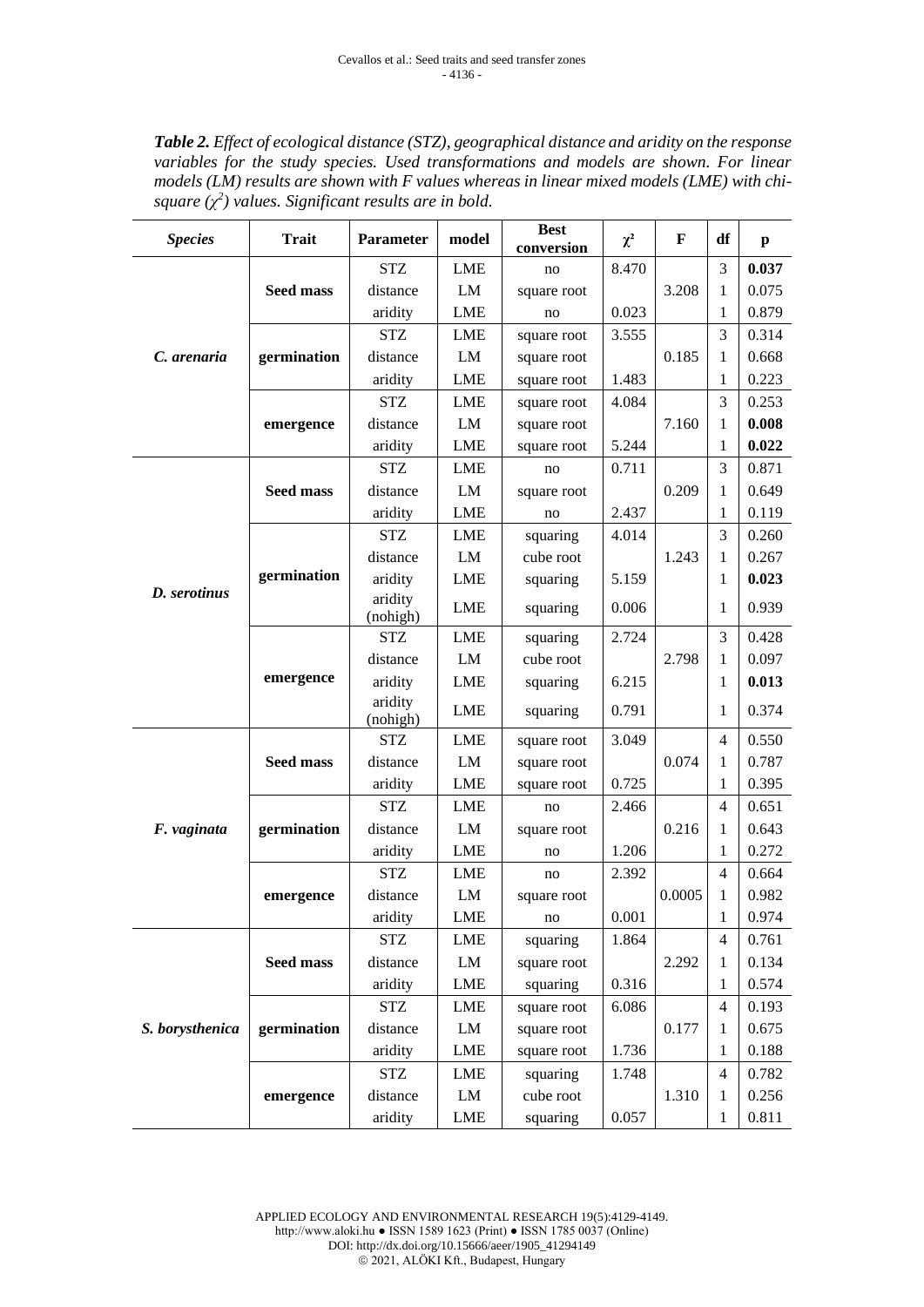*Table 2. Effect of ecological distance (STZ), geographical distance and aridity on the response*  variables for the study species. Used transformations and models are shown. For linear *models (LM) results are shown with F values whereas in linear mixed models (LME) with chisquare*  $(\chi^2)$  values. Significant results are in bold.

| <b>Species</b>  | <b>Trait</b>     | <b>Parameter</b>                                | model      | <b>Best</b><br>conversion | $\chi^2$       | F      | df             | p     |
|-----------------|------------------|-------------------------------------------------|------------|---------------------------|----------------|--------|----------------|-------|
|                 |                  | <b>STZ</b>                                      | <b>LME</b> | no                        | 8.470          |        | 3              | 0.037 |
|                 | <b>Seed mass</b> | distance                                        | LM         | square root               |                | 3.208  | 1              | 0.075 |
|                 |                  | aridity                                         | <b>LME</b> | no                        | 0.023          |        | 1              | 0.879 |
|                 |                  | <b>STZ</b>                                      | <b>LME</b> | square root               | 3.555          |        | 3              | 0.314 |
| C. arenaria     | germination      | distance                                        | LM         | square root               |                | 0.185  | 1              | 0.668 |
|                 |                  | aridity                                         | <b>LME</b> | square root               | 1.483          |        | $\mathbf{1}$   | 0.223 |
|                 |                  | <b>STZ</b>                                      | <b>LME</b> | square root               | 4.084          |        | 3              | 0.253 |
|                 | emergence        | distance                                        | LM         | square root               |                | 7.160  | 1              | 0.008 |
|                 |                  | aridity                                         | <b>LME</b> | square root               | 5.244          |        | 1              | 0.022 |
|                 |                  | <b>STZ</b>                                      | <b>LME</b> | no                        | 0.711          |        | 3              | 0.871 |
|                 | <b>Seed mass</b> | distance                                        | LM         | square root               |                | 0.209  | 1              | 0.649 |
|                 |                  | aridity                                         | <b>LME</b> | no                        | 2.437          |        |                | 0.119 |
|                 |                  | <b>STZ</b>                                      | <b>LME</b> | squaring                  | 4.014          |        | 3              | 0.260 |
|                 |                  | distance                                        | LM         | cube root                 |                | 1.243  | 1              | 0.267 |
| D. serotinus    | germination      | aridity                                         | <b>LME</b> | squaring                  | 5.159          |        | 1              | 0.023 |
|                 |                  | aridity<br>LME<br>0.006<br>squaring<br>(nohigh) |            |                           | $\mathbf{1}$   | 0.939  |                |       |
|                 |                  | <b>STZ</b>                                      | <b>LME</b> | squaring                  | 2.724          |        | 3              | 0.428 |
|                 |                  | distance                                        | LM         | cube root                 |                | 2.798  | $\mathbf{1}$   | 0.097 |
|                 | emergence        | aridity                                         | <b>LME</b> | squaring                  | 6.215          |        | 1              | 0.013 |
|                 |                  | aridity<br>(nohigh)                             | <b>LME</b> | squaring                  | 0.791          |        | 1              | 0.374 |
|                 | <b>Seed mass</b> | <b>STZ</b>                                      | <b>LME</b> | square root               | 3.049          |        | $\overline{4}$ | 0.550 |
|                 |                  | distance                                        | LM         | square root               |                | 0.074  | 1              | 0.787 |
|                 |                  | aridity                                         | <b>LME</b> | square root               | 0.725          |        | 1              | 0.395 |
|                 |                  | <b>STZ</b>                                      | <b>LME</b> | no                        | 2.466          |        | 4              | 0.651 |
| F. vaginata     | germination      | distance                                        | LM         | square root               |                | 0.216  | 1              | 0.643 |
|                 |                  | aridity                                         | <b>LME</b> | no                        | 1.206          |        | 1              | 0.272 |
|                 |                  | <b>STZ</b>                                      | <b>LME</b> | no                        | 2.392          |        | 4              | 0.664 |
|                 | emergence        | distance                                        | LM         | square root               |                | 0.0005 | 1              | 0.982 |
|                 |                  | aridity                                         | <b>LME</b> | no                        | 0.001          |        | 1              | 0.974 |
|                 |                  | STZ                                             | LME        | squaring                  | 1.864          |        | 4              | 0.761 |
|                 | <b>Seed mass</b> | distance                                        | ${\rm LM}$ | square root               |                | 2.292  | 1              | 0.134 |
|                 |                  | aridity                                         | LME        | squaring                  | 0.316          |        | 1              | 0.574 |
|                 |                  | <b>STZ</b>                                      | LME        | square root               | 6.086          |        | 4              | 0.193 |
| S. borysthenica | germination      | distance                                        | ${\rm LM}$ | square root               |                | 0.177  | 1              | 0.675 |
|                 |                  | aridity                                         | LME        | square root               | 1.736<br>1.748 |        | 1              | 0.188 |
|                 |                  | <b>STZ</b>                                      | LME        | squaring                  |                |        | 4              | 0.782 |
|                 | emergence        | distance                                        | LM         | cube root                 |                | 1.310  | 1              | 0.256 |
|                 |                  | aridity                                         | LME        | squaring<br>0.057         |                |        | $\mathbf{1}$   | 0.811 |

APPLIED ECOLOGY AND ENVIRONMENTAL RESEARCH 19(5):4129-4149. http://www.aloki.hu ● ISSN 1589 1623 (Print) ● ISSN 1785 0037 (Online) DOI: http://dx.doi.org/10.15666/aeer/1905\_41294149 © 2021, ALÖKI Kft., Budapest, Hungary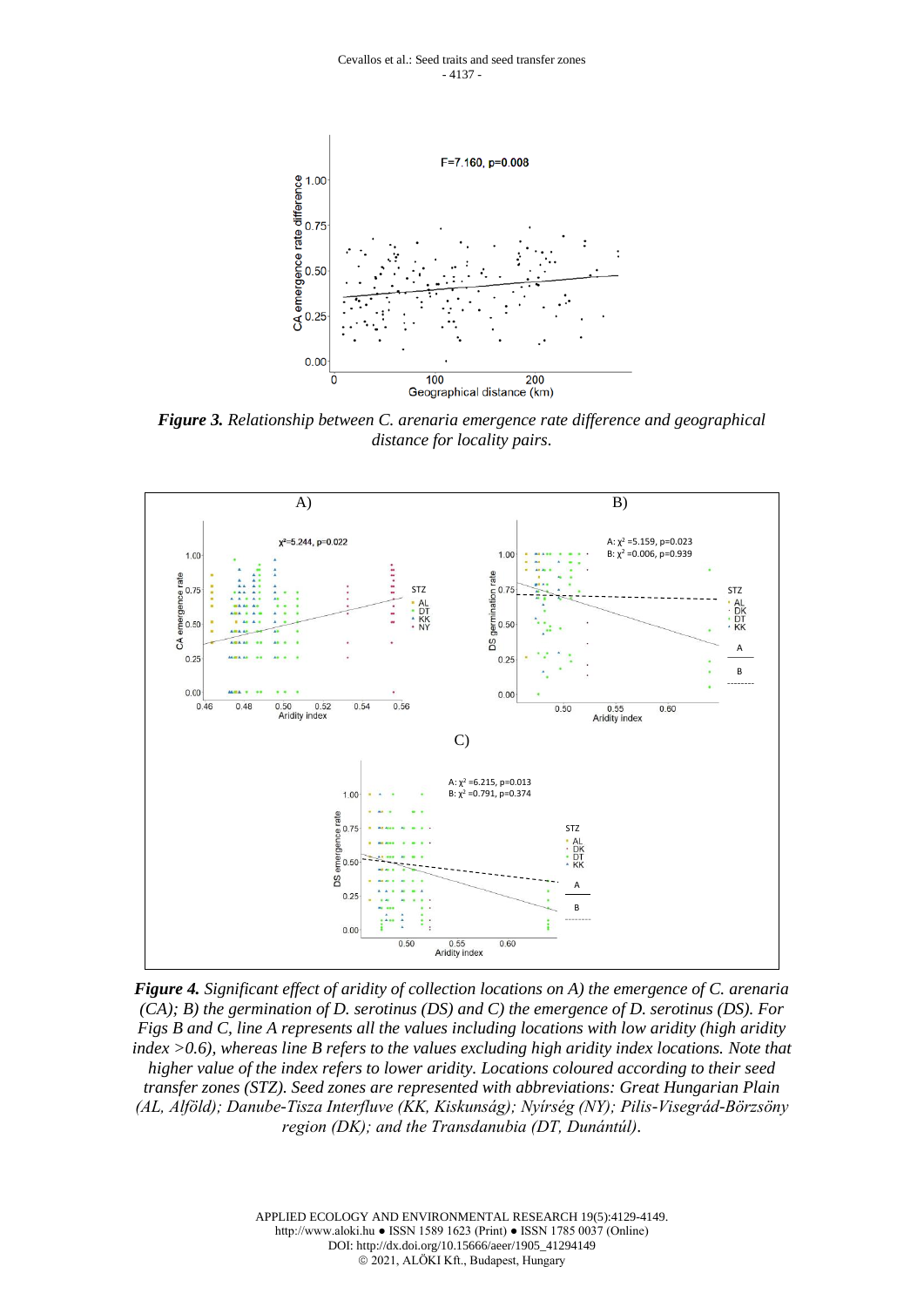

*Figure 3. Relationship between C. arenaria emergence rate difference and geographical distance for locality pairs.*



*Figure 4. Significant effect of aridity of collection locations on A) the emergence of C. arenaria (CA); B) the germination of D. serotinus (DS) and C) the emergence of D. serotinus (DS). For Figs B and C, line A represents all the values including locations with low aridity (high aridity index >0.6), whereas line B refers to the values excluding high aridity index locations. Note that higher value of the index refers to lower aridity. Locations coloured according to their seed transfer zones (STZ). Seed zones are represented with abbreviations: Great Hungarian Plain (AL, Alföld); Danube-Tisza Interfluve (KK, Kiskunság); Nyírség (NY); Pilis-Visegrád-Börzsöny region (DK); and the Transdanubia (DT, Dunántúl).*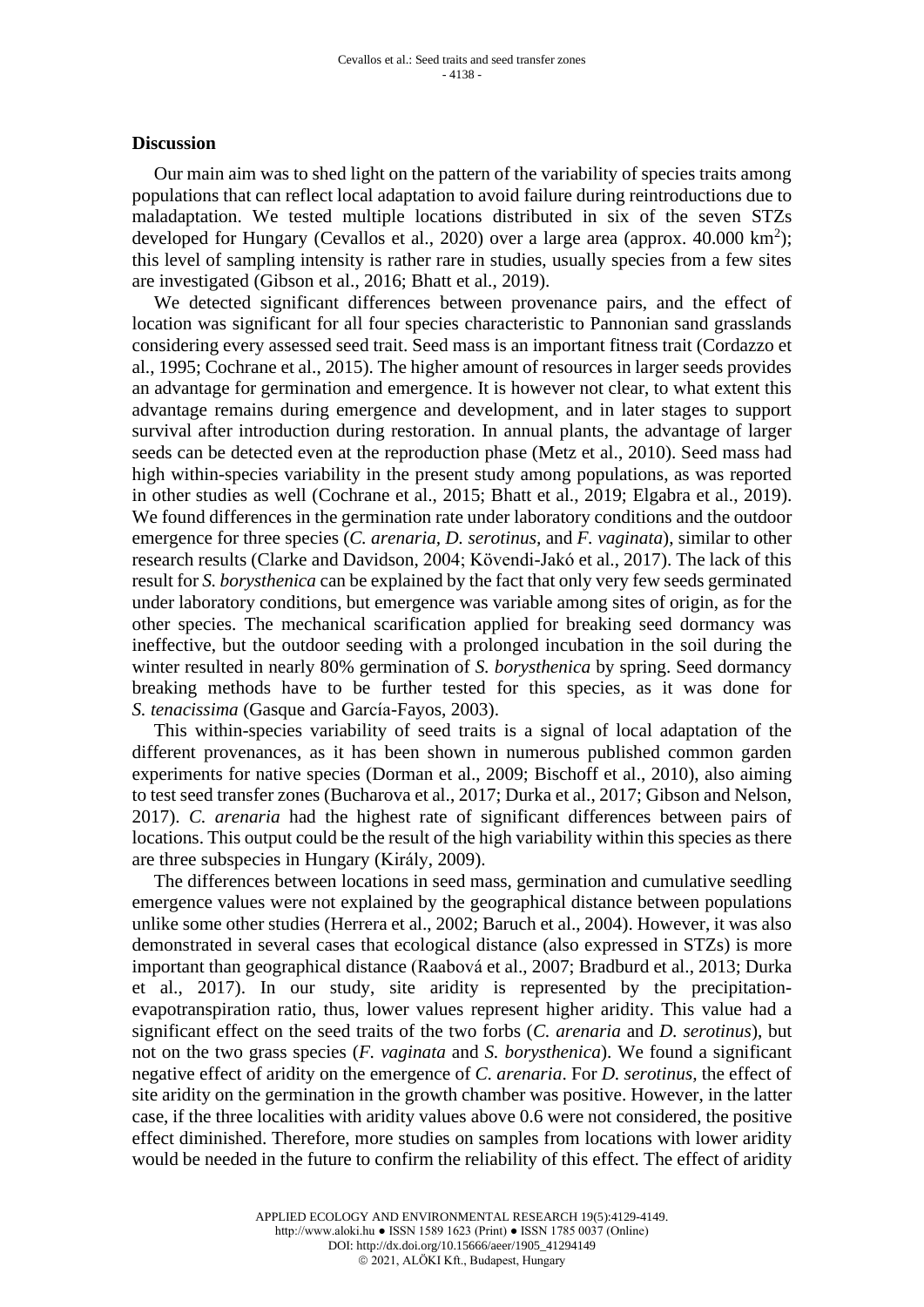#### **Discussion**

Our main aim was to shed light on the pattern of the variability of species traits among populations that can reflect local adaptation to avoid failure during reintroductions due to maladaptation. We tested multiple locations distributed in six of the seven STZs developed for Hungary (Cevallos et al., 2020) over a large area (approx.  $40.000 \text{ km}^2$ ); this level of sampling intensity is rather rare in studies, usually species from a few sites are investigated (Gibson et al., 2016; Bhatt et al., 2019).

We detected significant differences between provenance pairs, and the effect of location was significant for all four species characteristic to Pannonian sand grasslands considering every assessed seed trait. Seed mass is an important fitness trait (Cordazzo et al., 1995; Cochrane et al., 2015). The higher amount of resources in larger seeds provides an advantage for germination and emergence. It is however not clear, to what extent this advantage remains during emergence and development, and in later stages to support survival after introduction during restoration. In annual plants, the advantage of larger seeds can be detected even at the reproduction phase (Metz et al., 2010). Seed mass had high within-species variability in the present study among populations, as was reported in other studies as well (Cochrane et al., 2015; Bhatt et al., 2019; Elgabra et al., 2019). We found differences in the germination rate under laboratory conditions and the outdoor emergence for three species (*C. arenaria, D. serotinus,* and *F. vaginata*), similar to other research results (Clarke and Davidson, 2004; Kövendi-Jakó et al., 2017). The lack of this result for *S. borysthenica* can be explained by the fact that only very few seeds germinated under laboratory conditions, but emergence was variable among sites of origin, as for the other species. The mechanical scarification applied for breaking seed dormancy was ineffective, but the outdoor seeding with a prolonged incubation in the soil during the winter resulted in nearly 80% germination of *S. borysthenica* by spring. Seed dormancy breaking methods have to be further tested for this species, as it was done for *S. tenacissima* (Gasque and García-Fayos, 2003).

This within-species variability of seed traits is a signal of local adaptation of the different provenances, as it has been shown in numerous published common garden experiments for native species (Dorman et al., 2009; Bischoff et al., 2010), also aiming to test seed transfer zones (Bucharova et al., 2017; Durka et al., 2017; Gibson and Nelson, 2017). *C. arenaria* had the highest rate of significant differences between pairs of locations. This output could be the result of the high variability within this species as there are three subspecies in Hungary (Király, 2009).

The differences between locations in seed mass, germination and cumulative seedling emergence values were not explained by the geographical distance between populations unlike some other studies (Herrera et al., 2002; Baruch et al., 2004). However, it was also demonstrated in several cases that ecological distance (also expressed in STZs) is more important than geographical distance (Raabová et al., 2007; Bradburd et al., 2013; Durka et al., 2017). In our study, site aridity is represented by the precipitationevapotranspiration ratio, thus, lower values represent higher aridity. This value had a significant effect on the seed traits of the two forbs (*C. arenaria* and *D. serotinus*), but not on the two grass species (*F. vaginata* and *S. borysthenica*). We found a significant negative effect of aridity on the emergence of *C. arenaria*. For *D. serotinus,* the effect of site aridity on the germination in the growth chamber was positive. However, in the latter case, if the three localities with aridity values above 0.6 were not considered, the positive effect diminished. Therefore, more studies on samples from locations with lower aridity would be needed in the future to confirm the reliability of this effect. The effect of aridity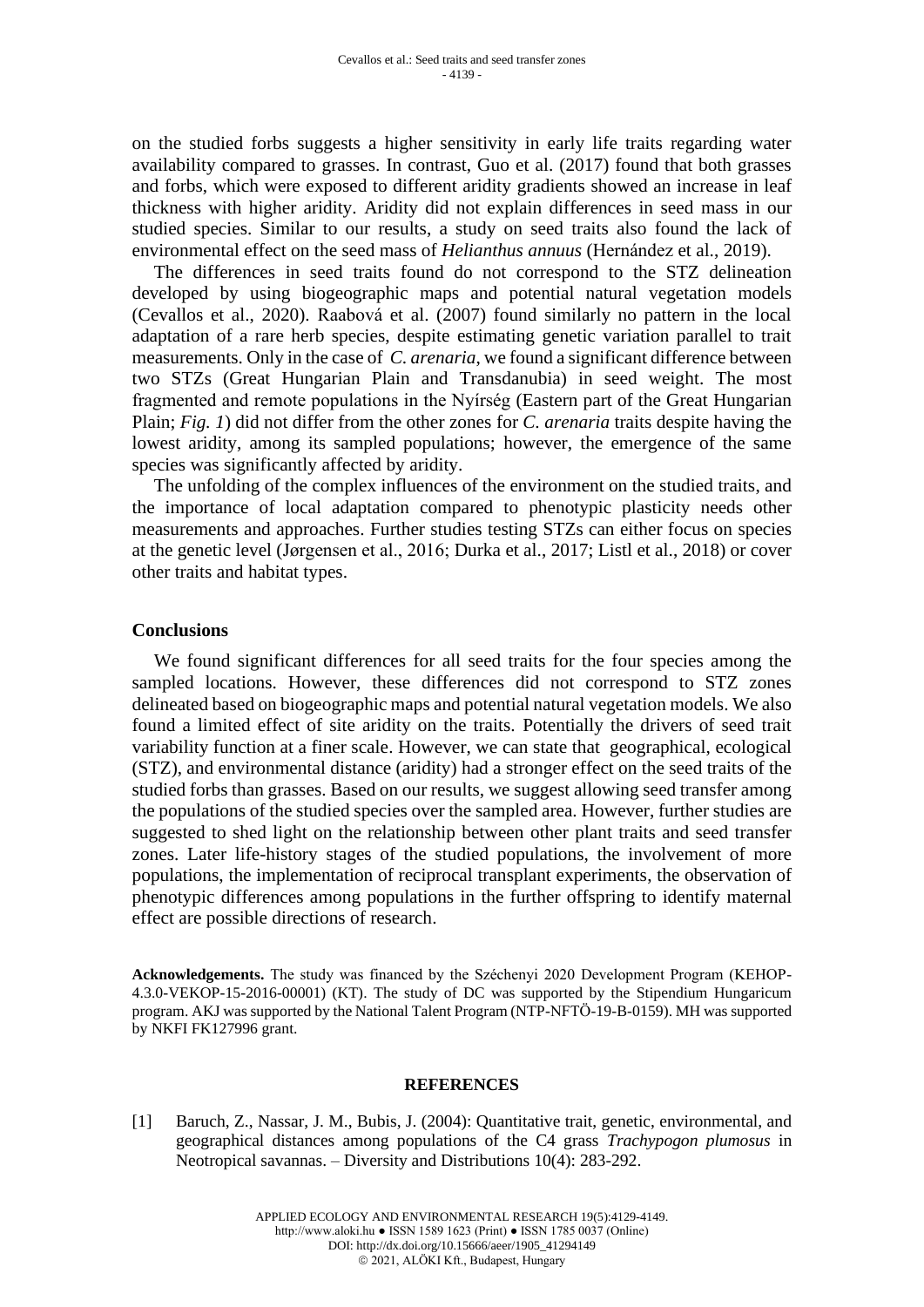on the studied forbs suggests a higher sensitivity in early life traits regarding water availability compared to grasses. In contrast, Guo et al. (2017) found that both grasses and forbs, which were exposed to different aridity gradients showed an increase in leaf thickness with higher aridity. Aridity did not explain differences in seed mass in our studied species. Similar to our results, a study on seed traits also found the lack of environmental effect on the seed mass of *Helianthus annuus* (Hernández et al., 2019).

The differences in seed traits found do not correspond to the STZ delineation developed by using biogeographic maps and potential natural vegetation models (Cevallos et al., 2020). Raabová et al. (2007) found similarly no pattern in the local adaptation of a rare herb species, despite estimating genetic variation parallel to trait measurements. Only in the case of *C. arenaria*, we found a significant difference between two STZs (Great Hungarian Plain and Transdanubia) in seed weight. The most fragmented and remote populations in the Nyírség (Eastern part of the Great Hungarian Plain; *Fig. 1*) did not differ from the other zones for *C. arenaria* traits despite having the lowest aridity, among its sampled populations; however, the emergence of the same species was significantly affected by aridity.

The unfolding of the complex influences of the environment on the studied traits, and the importance of local adaptation compared to phenotypic plasticity needs other measurements and approaches. Further studies testing STZs can either focus on species at the genetic level (Jørgensen et al., 2016; Durka et al., 2017; Listl et al., 2018) or cover other traits and habitat types.

### **Conclusions**

We found significant differences for all seed traits for the four species among the sampled locations. However, these differences did not correspond to STZ zones delineated based on biogeographic maps and potential natural vegetation models. We also found a limited effect of site aridity on the traits. Potentially the drivers of seed trait variability function at a finer scale. However, we can state that geographical, ecological (STZ), and environmental distance (aridity) had a stronger effect on the seed traits of the studied forbs than grasses. Based on our results, we suggest allowing seed transfer among the populations of the studied species over the sampled area. However, further studies are suggested to shed light on the relationship between other plant traits and seed transfer zones. Later life-history stages of the studied populations, the involvement of more populations, the implementation of reciprocal transplant experiments, the observation of phenotypic differences among populations in the further offspring to identify maternal effect are possible directions of research.

**Acknowledgements.** The study was financed by the Széchenyi 2020 Development Program (KEHOP-4.3.0-VEKOP-15-2016-00001) (KT). The study of DC was supported by the Stipendium Hungaricum program. AKJ was supported by the National Talent Program (NTP-NFTÖ-19-B-0159). MH was supported by NKFI FK127996 grant.

#### **REFERENCES**

[1] Baruch, Z., Nassar, J. M., Bubis, J. (2004): Quantitative trait, genetic, environmental, and geographical distances among populations of the C4 grass *Trachypogon plumosus* in Neotropical savannas. – Diversity and Distributions 10(4): 283-292.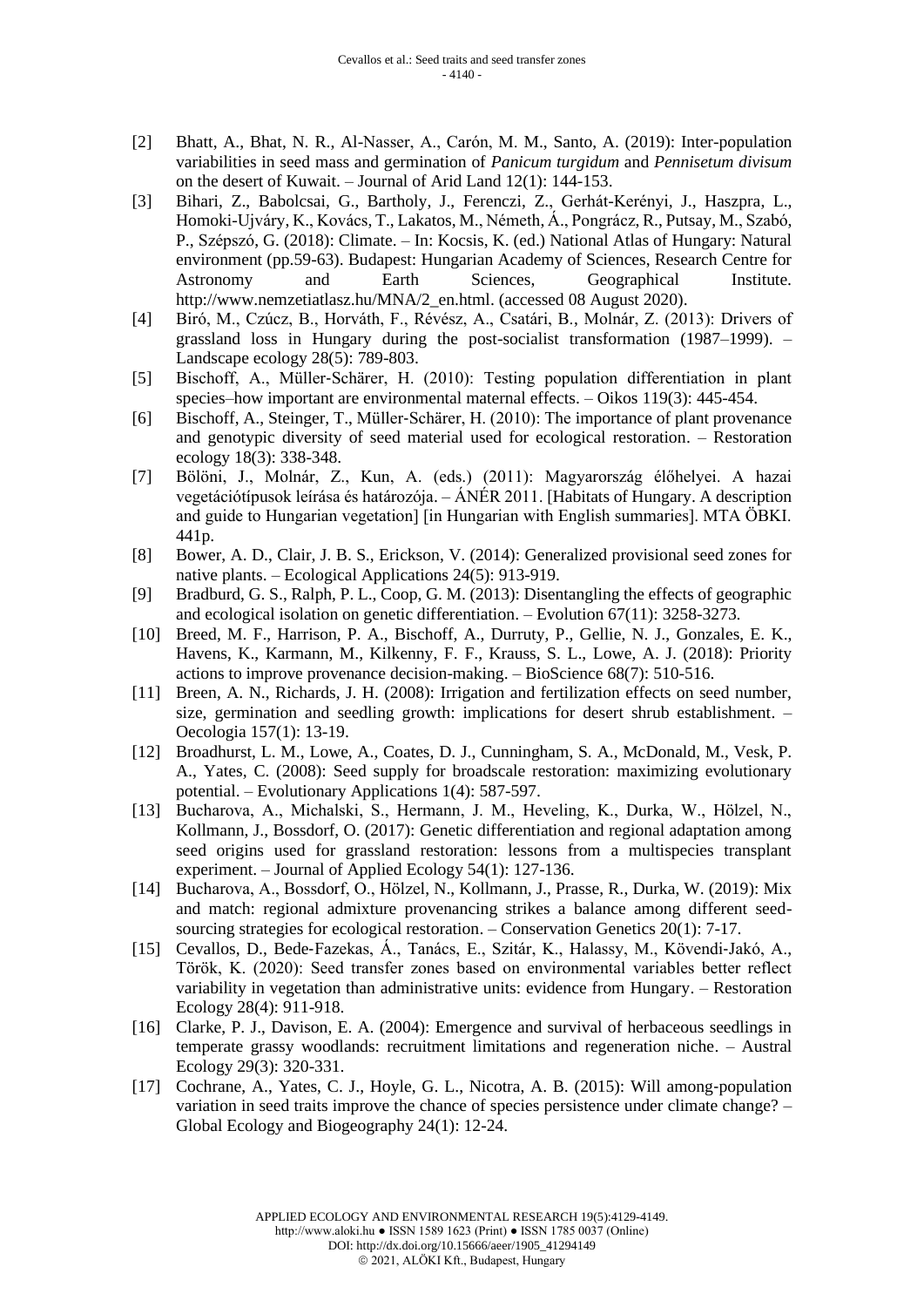- [2] Bhatt, A., Bhat, N. R., Al-Nasser, A., Carón, M. M., Santo, A. (2019): Inter-population variabilities in seed mass and germination of *Panicum turgidum* and *Pennisetum divisum* on the desert of Kuwait. – Journal of Arid Land 12(1): 144-153.
- [3] Bihari, Z., Babolcsai, G., Bartholy, J., Ferenczi, Z., Gerhát-Kerényi, J., Haszpra, L., Homoki-Ujváry, K., Kovács, T., Lakatos, M., Németh, Á., Pongrácz, R., Putsay, M., Szabó, P., Szépszó, G. (2018): Climate. – In: Kocsis, K. (ed.) National Atlas of Hungary: Natural environment (pp.59-63). Budapest: Hungarian Academy of Sciences, Research Centre for Astronomy and Earth Sciences, Geographical Institute. http://www.nemzetiatlasz.hu/MNA/2\_en.html. (accessed 08 August 2020).
- [4] Biró, M., Czúcz, B., Horváth, F., Révész, A., Csatári, B., Molnár, Z. (2013): Drivers of grassland loss in Hungary during the post-socialist transformation (1987–1999). – Landscape ecology 28(5): 789-803.
- [5] Bischoff, A., Müller‐Schärer, H. (2010): Testing population differentiation in plant species–how important are environmental maternal effects. – Oikos 119(3): 445-454.
- [6] Bischoff, A., Steinger, T., Müller‐Schärer, H. (2010): The importance of plant provenance and genotypic diversity of seed material used for ecological restoration. – Restoration ecology 18(3): 338-348.
- [7] Bölöni, J., Molnár, Z., Kun, A. (eds.) (2011): Magyarország élőhelyei. A hazai vegetációtípusok leírása és határozója. – ÁNÉR 2011. [Habitats of Hungary. A description and guide to Hungarian vegetation] [in Hungarian with English summaries]. MTA ÖBKI. 441p.
- [8] Bower, A. D., Clair, J. B. S., Erickson, V. (2014): Generalized provisional seed zones for native plants. – Ecological Applications 24(5): 913-919.
- [9] Bradburd, G. S., Ralph, P. L., Coop, G. M. (2013): Disentangling the effects of geographic and ecological isolation on genetic differentiation. – Evolution 67(11): 3258-3273.
- [10] Breed, M. F., Harrison, P. A., Bischoff, A., Durruty, P., Gellie, N. J., Gonzales, E. K., Havens, K., Karmann, M., Kilkenny, F. F., Krauss, S. L., Lowe, A. J. (2018): Priority actions to improve provenance decision-making. – BioScience 68(7): 510-516.
- [11] Breen, A. N., Richards, J. H. (2008): Irrigation and fertilization effects on seed number, size, germination and seedling growth: implications for desert shrub establishment. – Oecologia 157(1): 13-19.
- [12] Broadhurst, L. M., Lowe, A., Coates, D. J., Cunningham, S. A., McDonald, M., Vesk, P. A., Yates, C. (2008): Seed supply for broadscale restoration: maximizing evolutionary potential. – Evolutionary Applications 1(4): 587-597.
- [13] Bucharova, A., Michalski, S., Hermann, J. M., Heveling, K., Durka, W., Hölzel, N., Kollmann, J., Bossdorf, O. (2017): Genetic differentiation and regional adaptation among seed origins used for grassland restoration: lessons from a multispecies transplant experiment. – Journal of Applied Ecology 54(1): 127-136.
- [14] Bucharova, A., Bossdorf, O., Hölzel, N., Kollmann, J., Prasse, R., Durka, W. (2019): Mix and match: regional admixture provenancing strikes a balance among different seedsourcing strategies for ecological restoration. – Conservation Genetics 20(1): 7-17.
- [15] Cevallos, D., Bede‐Fazekas, Á., Tanács, E., Szitár, K., Halassy, M., Kövendi‐Jakó, A., Török, K. (2020): Seed transfer zones based on environmental variables better reflect variability in vegetation than administrative units: evidence from Hungary. – Restoration Ecology 28(4): 911-918.
- [16] Clarke, P. J., Davison, E. A. (2004): Emergence and survival of herbaceous seedlings in temperate grassy woodlands: recruitment limitations and regeneration niche. – Austral Ecology 29(3): 320-331.
- [17] Cochrane, A., Yates, C. J., Hoyle, G. L., Nicotra, A. B. (2015): Will among‐population variation in seed traits improve the chance of species persistence under climate change? – Global Ecology and Biogeography 24(1): 12-24.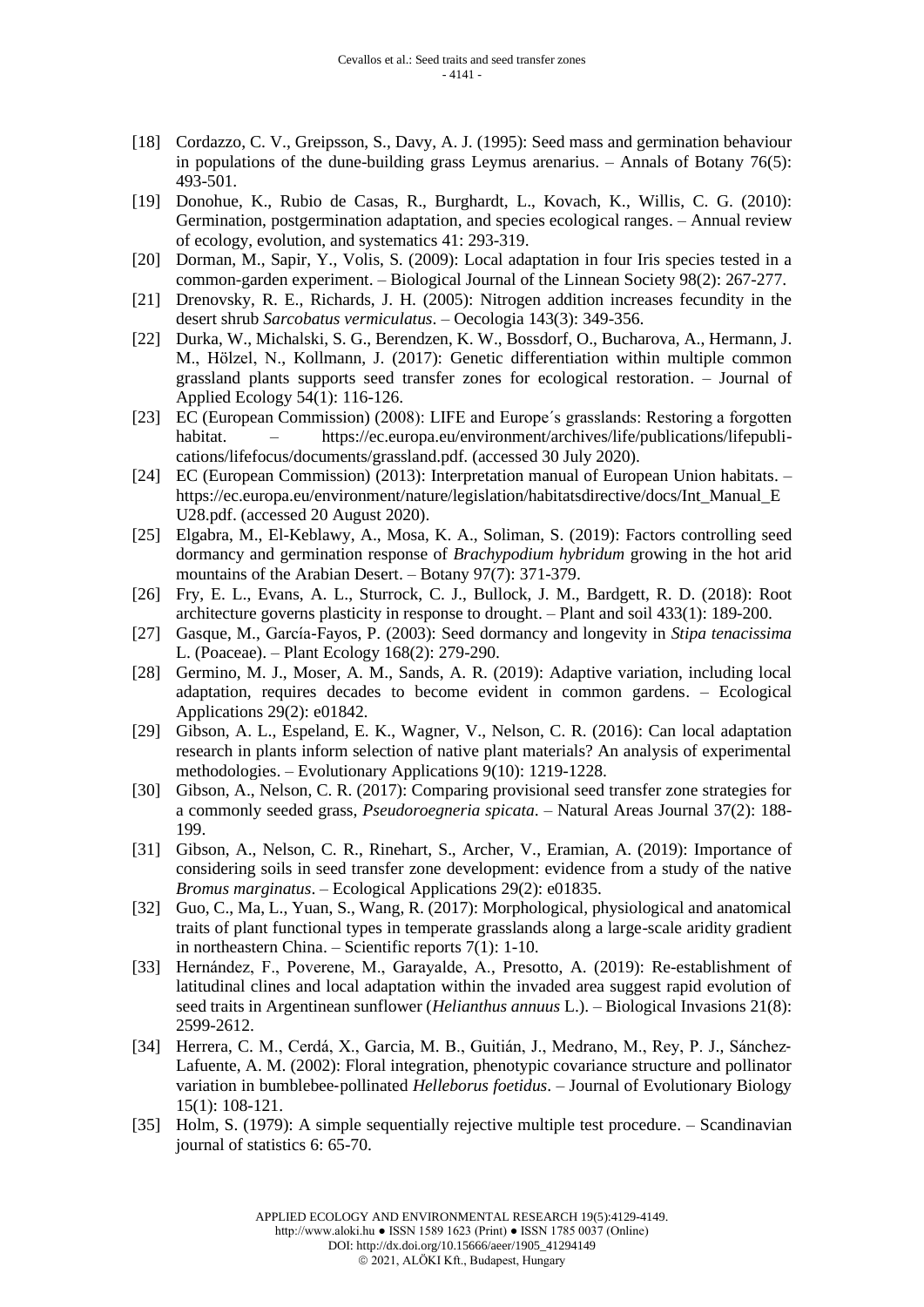- [18] Cordazzo, C. V., Greipsson, S., Davy, A. J. (1995): Seed mass and germination behaviour in populations of the dune-building grass Leymus arenarius.  $-$  Annals of Botany 76(5): 493-501.
- [19] Donohue, K., Rubio de Casas, R., Burghardt, L., Kovach, K., Willis, C. G. (2010): Germination, postgermination adaptation, and species ecological ranges. – Annual review of ecology, evolution, and systematics 41: 293-319.
- [20] Dorman, M., Sapir, Y., Volis, S. (2009): Local adaptation in four Iris species tested in a common-garden experiment. – Biological Journal of the Linnean Society 98(2): 267-277.
- [21] Drenovsky, R. E., Richards, J. H. (2005): Nitrogen addition increases fecundity in the desert shrub *Sarcobatus vermiculatus*. – Oecologia 143(3): 349-356.
- [22] Durka, W., Michalski, S. G., Berendzen, K. W., Bossdorf, O., Bucharova, A., Hermann, J. M., Hölzel, N., Kollmann, J. (2017): Genetic differentiation within multiple common grassland plants supports seed transfer zones for ecological restoration. – Journal of Applied Ecology 54(1): 116-126.
- [23] EC (European Commission) (2008): LIFE and Europe´s grasslands: Restoring a forgotten habitat. – https://ec.europa.eu/environment/archives/life/publications/lifepublications/lifefocus/documents/grassland.pdf. (accessed 30 July 2020).
- [24] EC (European Commission) (2013): Interpretation manual of European Union habitats. https://ec.europa.eu/environment/nature/legislation/habitatsdirective/docs/Int\_Manual\_E U28.pdf. (accessed 20 August 2020).
- [25] Elgabra, M., El-Keblawy, A., Mosa, K. A., Soliman, S. (2019): Factors controlling seed dormancy and germination response of *Brachypodium hybridum* growing in the hot arid mountains of the Arabian Desert. – Botany 97(7): 371-379.
- [26] Fry, E. L., Evans, A. L., Sturrock, C. J., Bullock, J. M., Bardgett, R. D. (2018): Root architecture governs plasticity in response to drought. – Plant and soil 433(1): 189-200.
- [27] Gasque, M., García-Fayos, P. (2003): Seed dormancy and longevity in *Stipa tenacissima* L. (Poaceae). – Plant Ecology 168(2): 279-290.
- [28] Germino, M. J., Moser, A. M., Sands, A. R. (2019): Adaptive variation, including local adaptation, requires decades to become evident in common gardens. – Ecological Applications 29(2): e01842.
- [29] Gibson, A. L., Espeland, E. K., Wagner, V., Nelson, C. R. (2016): Can local adaptation research in plants inform selection of native plant materials? An analysis of experimental methodologies. – Evolutionary Applications 9(10): 1219-1228.
- [30] Gibson, A., Nelson, C. R. (2017): Comparing provisional seed transfer zone strategies for a commonly seeded grass, *Pseudoroegneria spicata*. – Natural Areas Journal 37(2): 188- 199.
- [31] Gibson, A., Nelson, C. R., Rinehart, S., Archer, V., Eramian, A. (2019): Importance of considering soils in seed transfer zone development: evidence from a study of the native *Bromus marginatus*. – Ecological Applications 29(2): e01835.
- [32] Guo, C., Ma, L., Yuan, S., Wang, R. (2017): Morphological, physiological and anatomical traits of plant functional types in temperate grasslands along a large-scale aridity gradient in northeastern China. – Scientific reports 7(1): 1-10.
- [33] Hernández, F., Poverene, M., Garayalde, A., Presotto, A. (2019): Re-establishment of latitudinal clines and local adaptation within the invaded area suggest rapid evolution of seed traits in Argentinean sunflower (*Helianthus annuus* L.). – Biological Invasions 21(8): 2599-2612.
- [34] Herrera, C. M., Cerdá, X., Garcia, M. B., Guitián, J., Medrano, M., Rey, P. J., Sánchez-Lafuente, A. M. (2002): Floral integration, phenotypic covariance structure and pollinator variation in bumblebee‐pollinated *Helleborus foetidus*. – Journal of Evolutionary Biology 15(1): 108-121.
- [35] Holm, S. (1979): A simple sequentially rejective multiple test procedure. Scandinavian journal of statistics 6: 65-70.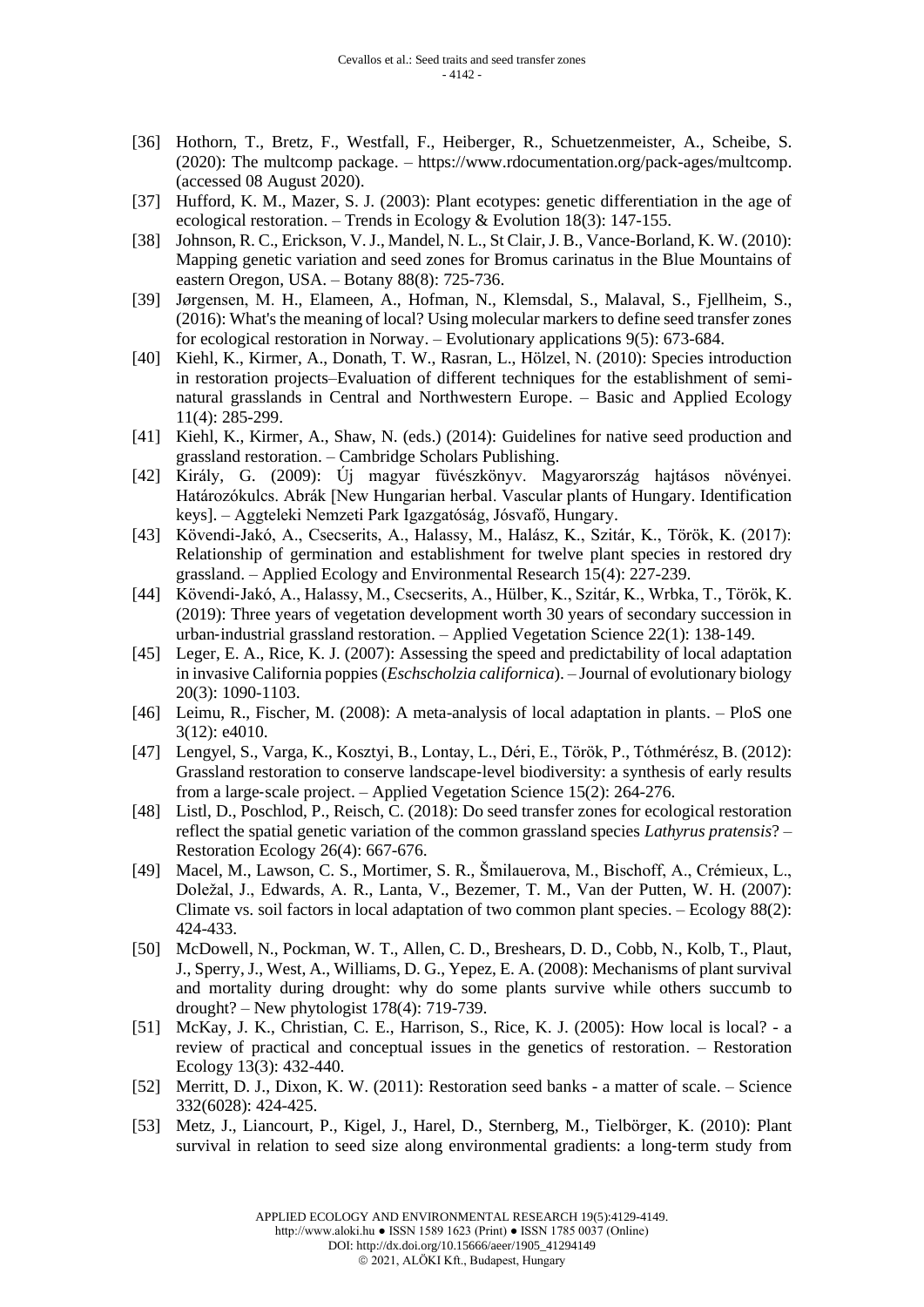- [36] Hothorn, T., Bretz, F., Westfall, F., Heiberger, R., Schuetzenmeister, A., Scheibe, S. (2020): The multcomp package. – https://www.rdocumentation.org/pack-ages/multcomp. (accessed 08 August 2020).
- [37] Hufford, K. M., Mazer, S. J. (2003): Plant ecotypes: genetic differentiation in the age of ecological restoration. – Trends in Ecology & Evolution 18(3): 147-155.
- [38] Johnson, R. C., Erickson, V.J., Mandel, N. L., St Clair, J. B., Vance-Borland, K. W. (2010): Mapping genetic variation and seed zones for Bromus carinatus in the Blue Mountains of eastern Oregon, USA. – Botany 88(8): 725-736.
- [39] Jørgensen, M. H., Elameen, A., Hofman, N., Klemsdal, S., Malaval, S., Fjellheim, S., (2016): What's the meaning of local? Using molecular markers to define seed transfer zones for ecological restoration in Norway. – Evolutionary applications 9(5): 673-684.
- [40] Kiehl, K., Kirmer, A., Donath, T. W., Rasran, L., Hölzel, N. (2010): Species introduction in restoration projects–Evaluation of different techniques for the establishment of seminatural grasslands in Central and Northwestern Europe. – Basic and Applied Ecology 11(4): 285-299.
- [41] Kiehl, K., Kirmer, A., Shaw, N. (eds.) (2014): Guidelines for native seed production and grassland restoration. – Cambridge Scholars Publishing.
- [42] Király, G. (2009): Új magyar füvészkönyv. Magyarország hajtásos növényei. Határozókulcs. Abrák [New Hungarian herbal. Vascular plants of Hungary. Identification keys]. – Aggteleki Nemzeti Park Igazgatóság, Jósvafő, Hungary.
- [43] Kövendi-Jakó, A., Csecserits, A., Halassy, M., Halász, K., Szitár, K., Török, K. (2017): Relationship of germination and establishment for twelve plant species in restored dry grassland. – Applied Ecology and Environmental Research 15(4): 227-239.
- [44] Kövendi‐Jakó, A., Halassy, M., Csecserits, A., Hülber, K., Szitár, K., Wrbka, T., Török, K. (2019): Three years of vegetation development worth 30 years of secondary succession in urban‐industrial grassland restoration. – Applied Vegetation Science 22(1): 138-149.
- [45] Leger, E. A., Rice, K. J. (2007): Assessing the speed and predictability of local adaptation in invasive California poppies (*Eschscholzia californica*). – Journal of evolutionary biology 20(3): 1090-1103.
- [46] Leimu, R., Fischer, M. (2008): A meta-analysis of local adaptation in plants. PloS one 3(12): e4010.
- [47] Lengyel, S., Varga, K., Kosztyi, B., Lontay, L., Déri, E., Török, P., Tóthmérész, B. (2012): Grassland restoration to conserve landscape‐level biodiversity: a synthesis of early results from a large-scale project. – Applied Vegetation Science 15(2): 264-276.
- [48] Listl, D., Poschlod, P., Reisch, C. (2018): Do seed transfer zones for ecological restoration reflect the spatial genetic variation of the common grassland species *Lathyrus pratensis*? – Restoration Ecology 26(4): 667-676.
- [49] Macel, M., Lawson, C. S., Mortimer, S. R., Šmilauerova, M., Bischoff, A., Crémieux, L., Doležal, J., Edwards, A. R., Lanta, V., Bezemer, T. M., Van der Putten, W. H. (2007): Climate vs. soil factors in local adaptation of two common plant species. – Ecology 88(2): 424-433.
- [50] McDowell, N., Pockman, W. T., Allen, C. D., Breshears, D. D., Cobb, N., Kolb, T., Plaut, J., Sperry, J., West, A., Williams, D. G., Yepez, E. A. (2008): Mechanisms of plant survival and mortality during drought: why do some plants survive while others succumb to drought? – New phytologist 178(4): 719-739.
- [51] McKay, J. K., Christian, C. E., Harrison, S., Rice, K. J. (2005): How local is local? a review of practical and conceptual issues in the genetics of restoration. – Restoration Ecology 13(3): 432-440.
- [52] Merritt, D. J., Dixon, K. W. (2011): Restoration seed banks a matter of scale. Science 332(6028): 424-425.
- [53] Metz, J., Liancourt, P., Kigel, J., Harel, D., Sternberg, M., Tielbörger, K. (2010): Plant survival in relation to seed size along environmental gradients: a long‐term study from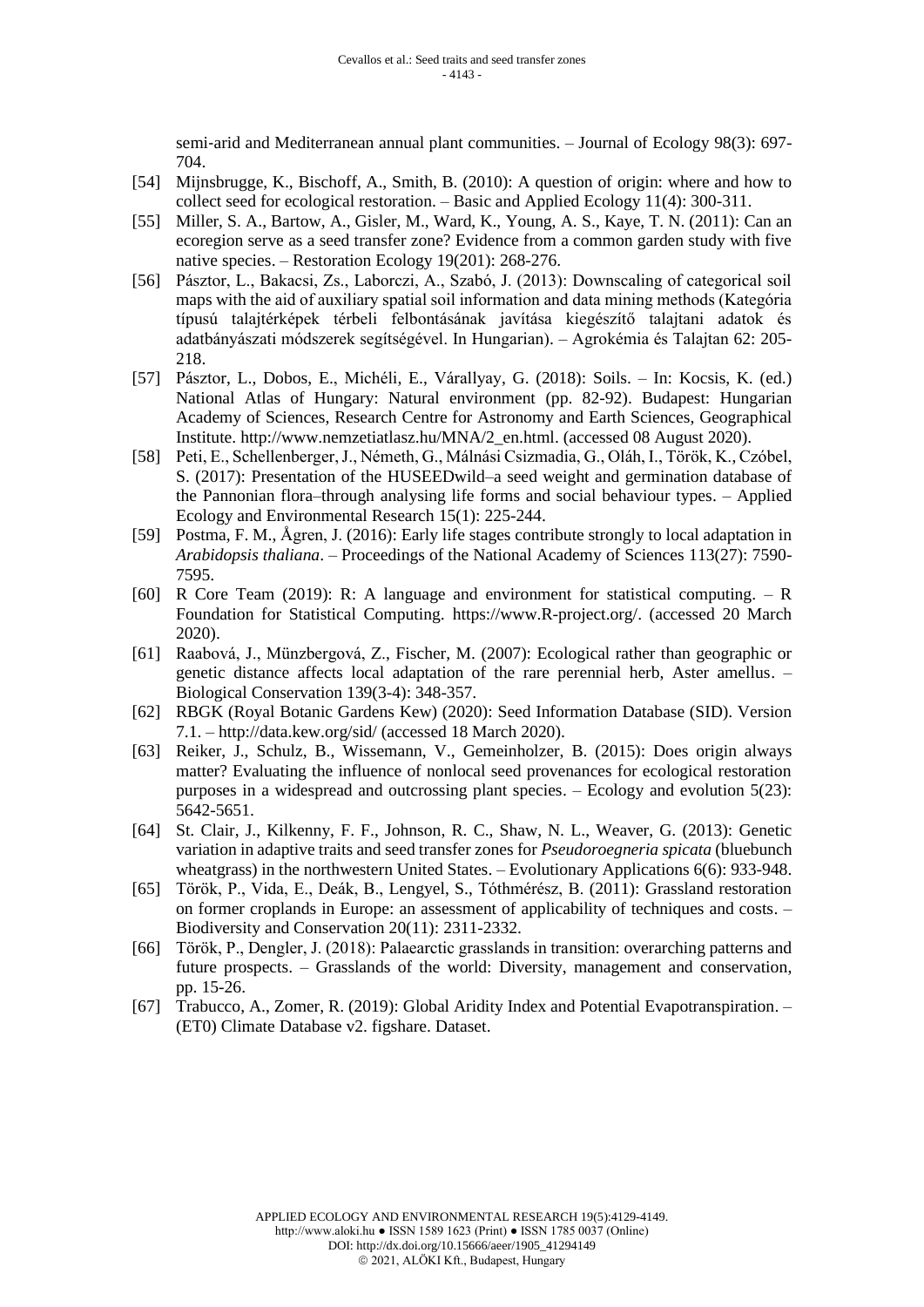semi-arid and Mediterranean annual plant communities. – Journal of Ecology 98(3): 697-704.

- [54] Mijnsbrugge, K., Bischoff, A., Smith, B. (2010): A question of origin: where and how to collect seed for ecological restoration. – Basic and Applied Ecology 11(4): 300-311.
- [55] Miller, S. A., Bartow, A., Gisler, M., Ward, K., Young, A. S., Kaye, T. N. (2011): Can an ecoregion serve as a seed transfer zone? Evidence from a common garden study with five native species. – Restoration Ecology 19(201): 268-276.
- [56] Pásztor, L., Bakacsi, Zs., Laborczi, A., Szabó, J. (2013): Downscaling of categorical soil maps with the aid of auxiliary spatial soil information and data mining methods (Kategória típusú talajtérképek térbeli felbontásának javítása kiegészítő talajtani adatok és adatbányászati módszerek segítségével. In Hungarian). – Agrokémia és Talajtan 62: 205- 218.
- [57] Pásztor, L., Dobos, E., Michéli, E., Várallyay, G. (2018): Soils. In: Kocsis, K. (ed.) National Atlas of Hungary: Natural environment (pp. 82-92). Budapest: Hungarian Academy of Sciences, Research Centre for Astronomy and Earth Sciences, Geographical Institute. http://www.nemzetiatlasz.hu/MNA/2\_en.html. (accessed 08 August 2020).
- [58] Peti, E., Schellenberger, J., Németh, G., Málnási Csizmadia, G., Oláh, I., Török, K., Czóbel, S. (2017): Presentation of the HUSEEDwild–a seed weight and germination database of the Pannonian flora–through analysing life forms and social behaviour types. – Applied Ecology and Environmental Research 15(1): 225-244.
- [59] Postma, F. M., Ågren, J. (2016): Early life stages contribute strongly to local adaptation in *Arabidopsis thaliana*. – Proceedings of the National Academy of Sciences 113(27): 7590- 7595.
- [60] R Core Team (2019): R: A language and environment for statistical computing. R Foundation for Statistical Computing. https://www.R-project.org/. (accessed 20 March 2020).
- [61] Raabová, J., Münzbergová, Z., Fischer, M. (2007): Ecological rather than geographic or genetic distance affects local adaptation of the rare perennial herb, Aster amellus. – Biological Conservation 139(3-4): 348-357.
- [62] RBGK (Royal Botanic Gardens Kew) (2020): Seed Information Database (SID). Version 7.1. – http://data.kew.org/sid/ (accessed 18 March 2020).
- [63] Reiker, J., Schulz, B., Wissemann, V., Gemeinholzer, B. (2015): Does origin always matter? Evaluating the influence of nonlocal seed provenances for ecological restoration purposes in a widespread and outcrossing plant species. – Ecology and evolution 5(23): 5642-5651.
- [64] St. Clair, J., Kilkenny, F. F., Johnson, R. C., Shaw, N. L., Weaver, G. (2013): Genetic variation in adaptive traits and seed transfer zones for *Pseudoroegneria spicata* (bluebunch wheatgrass) in the northwestern United States. – Evolutionary Applications 6(6): 933-948.
- [65] Török, P., Vida, E., Deák, B., Lengyel, S., Tóthmérész, B. (2011): Grassland restoration on former croplands in Europe: an assessment of applicability of techniques and costs. – Biodiversity and Conservation 20(11): 2311-2332.
- [66] Török, P., Dengler, J. (2018): Palaearctic grasslands in transition: overarching patterns and future prospects. – Grasslands of the world: Diversity, management and conservation, pp. 15-26.
- [67] Trabucco, A., Zomer, R. (2019): Global Aridity Index and Potential Evapotranspiration. (ET0) Climate Database v2. figshare. Dataset.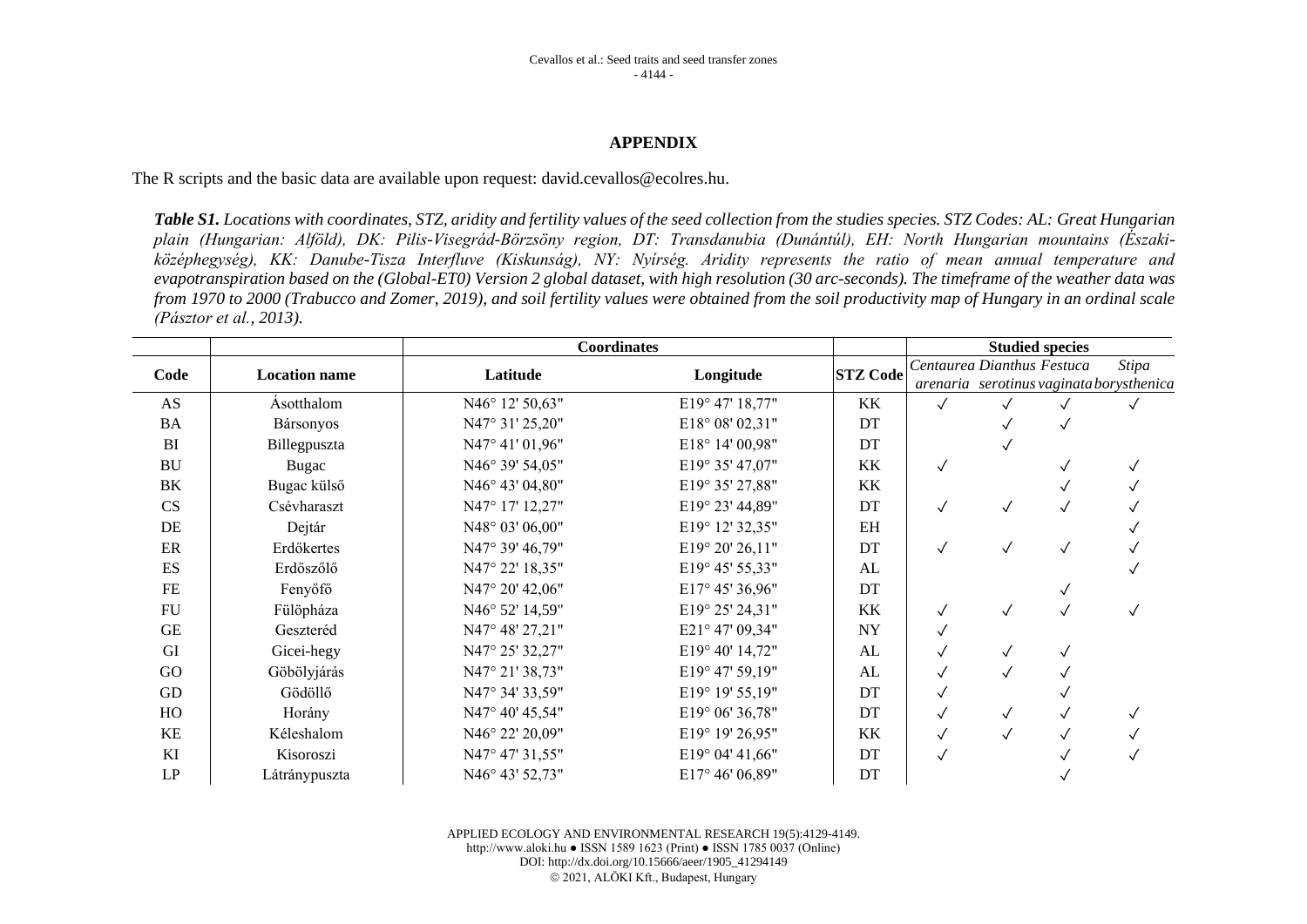#### **APPENDIX**

The R scripts and the basic data are available upon request: david.cevallos@ecolres.hu.

*Table S1. Locations with coordinates, STZ, aridity and fertility values of the seed collection from the studies species. STZ Codes: AL: Great Hungarian plain (Hungarian: Alföld), DK: Pilis-Visegrád-Börzsöny region, DT: Transdanubia (Dunántúl), EH: North Hungarian mountains (Északiközéphegység), KK: Danube-Tisza Interfluve (Kiskunság), NY: Nyírség. Aridity represents the ratio of mean annual temperature and evapotranspiration based on the (Global-ET0) Version 2 global dataset, with high resolution (30 arc-seconds). The timeframe of the weather data was from 1970 to 2000 (Trabucco and Zomer, 2019), and soil fertility values were obtained from the soil productivity map of Hungary in an ordinal scale (Pásztor et al., 2013).*

|            |                      | <b>Coordinates</b> |                 | <b>Studied species</b> |                            |              |  |                                          |
|------------|----------------------|--------------------|-----------------|------------------------|----------------------------|--------------|--|------------------------------------------|
| Code       | <b>Location name</b> | Latitude           | Longitude       | <b>STZ Code</b>        | Centaurea Dianthus Festuca |              |  | <b>Stipa</b>                             |
|            |                      |                    |                 |                        |                            |              |  | arenaria serotinus vaginata borysthenica |
| AS         | <b>Ásotthalom</b>    | N46° 12' 50,63"    | E19° 47' 18,77" | KK                     | $\sqrt{}$                  |              |  |                                          |
| <b>BA</b>  | Bársonyos            | N47° 31' 25,20"    | E18° 08' 02,31" | DT                     |                            |              |  |                                          |
| BI         | Billegpuszta         | N47° 41' 01,96"    | E18° 14' 00,98" | DT                     |                            | $\checkmark$ |  |                                          |
| <b>BU</b>  | Bugac                | N46° 39' 54,05"    | E19° 35' 47,07" | KK                     | $\checkmark$               |              |  |                                          |
| BK         | Bugac külső          | N46° 43' 04,80"    | E19° 35' 27,88" | KK                     |                            |              |  |                                          |
| CS         | Csévharaszt          | N47° 17' 12,27"    | E19° 23' 44,89" | DT                     | ✓                          | $\checkmark$ |  |                                          |
| DE         | Dejtár               | N48° 03' 06,00"    | E19° 12' 32,35" | EH                     |                            |              |  |                                          |
| $\rm ER$   | Erdőkertes           | N47° 39' 46,79"    | E19° 20' 26,11" | DT                     | $\checkmark$               | $\checkmark$ |  |                                          |
| ES         | Erdőszőlő            | N47° 22' 18,35"    | E19° 45' 55,33" | AL                     |                            |              |  |                                          |
| $FE$       | Fenyőfő              | N47° 20' 42,06"    | E17° 45' 36,96" | DT                     |                            |              |  |                                          |
| ${\rm FU}$ | Fülöpháza            | N46° 52' 14,59"    | E19° 25' 24,31" | KK                     | $\checkmark$               | $\checkmark$ |  |                                          |
| GE         | Geszteréd            | N47° 48' 27,21"    | E21° 47' 09,34" | <b>NY</b>              | $\checkmark$               |              |  |                                          |
| GI         | Gicei-hegy           | N47° 25' 32,27"    | E19° 40' 14,72" | AL                     |                            | $\checkmark$ |  |                                          |
| GO         | Göbölyjárás          | N47° 21' 38,73"    | E19° 47' 59,19" | AL                     | $\checkmark$               | $\checkmark$ |  |                                          |
| GD         | Gödöllő              | N47° 34' 33,59"    | E19° 19' 55,19" | DT                     |                            |              |  |                                          |
| HO         | Horány               | N47° 40' 45,54"    | E19° 06' 36,78" | DT                     | ✓                          | $\checkmark$ |  |                                          |
| KE         | Kéleshalom           | N46° 22' 20,09"    | E19° 19' 26,95" | KK                     | ✓                          | $\checkmark$ |  |                                          |
| KI         | Kisoroszi            | N47° 47' 31,55"    | E19° 04' 41,66" | DT                     | $\checkmark$               |              |  |                                          |
| LP         | Látránypuszta        | N46° 43' 52,73"    | E17° 46' 06,89" | DT                     |                            |              |  |                                          |

APPLIED ECOLOGY AND ENVIRONMENTAL RESEARCH 19(5):4129-4149. http://www.aloki.hu ● ISSN 1589 1623 (Print) ● ISSN 1785 0037 (Online) DOI: http://dx.doi.org/10.15666/aeer/1905\_41294149 © 2021, ALÖKI Kft., Budapest, Hungary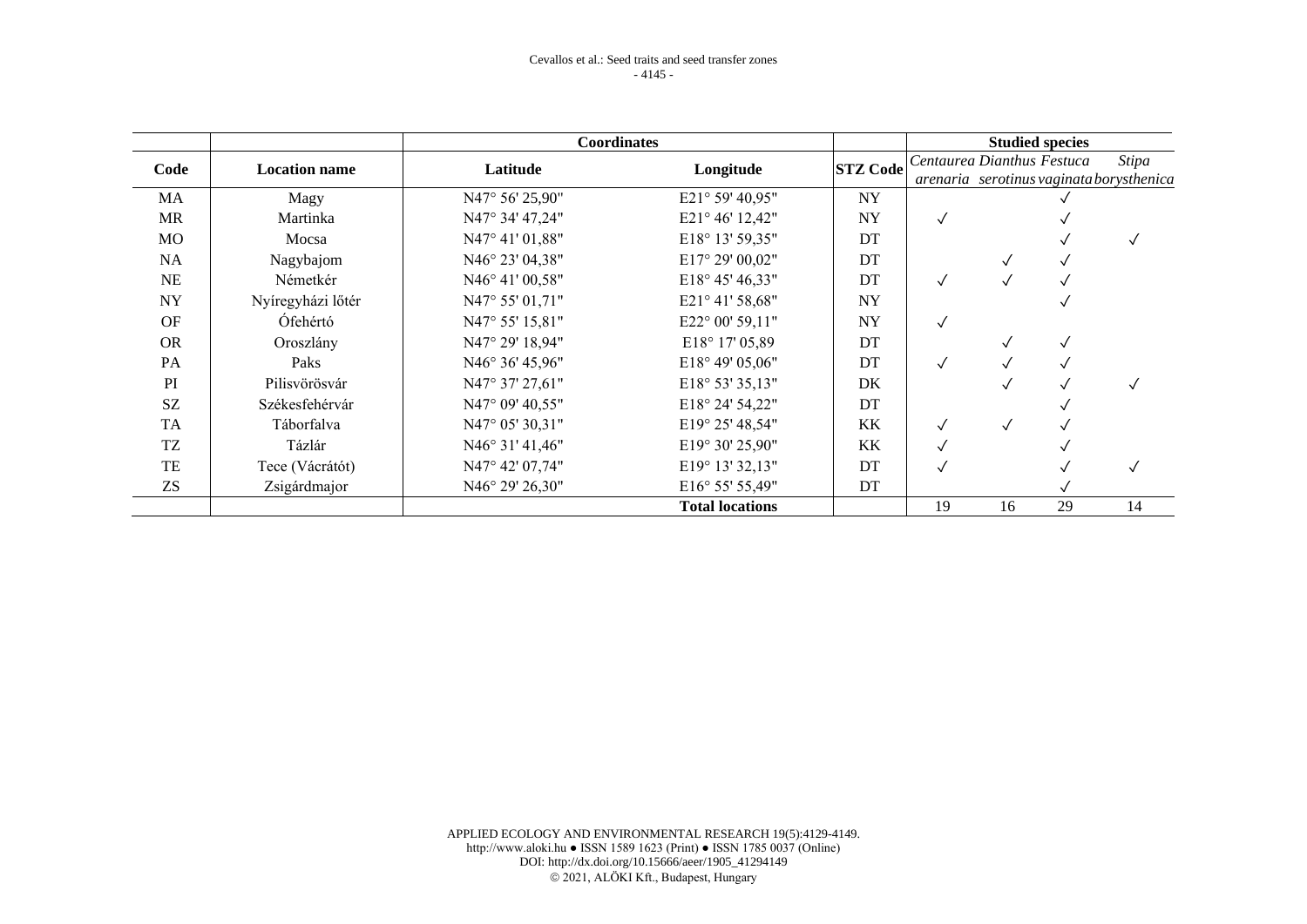|           |                      | <b>Coordinates</b>       |                          | <b>Studied species</b> |                            |              |    |                                          |
|-----------|----------------------|--------------------------|--------------------------|------------------------|----------------------------|--------------|----|------------------------------------------|
| Code      | <b>Location name</b> | Latitude                 | Longitude                | <b>STZ Code</b>        | Centaurea Dianthus Festuca |              |    | Stipa                                    |
|           |                      |                          |                          |                        |                            |              |    | arenaria serotinus vaginata borysthenica |
| <b>MA</b> | Magy                 | N47° 56' 25,90"          | E21° 59' 40,95"          | <b>NY</b>              |                            |              |    |                                          |
| <b>MR</b> | Martinka             | N47° 34' 47,24"          | E21° 46' 12,42"          | <b>NY</b>              |                            |              |    |                                          |
| <b>MO</b> | Mocsa                | N47° 41' 01,88"          | E18° 13' 59,35"          | DT                     |                            |              |    |                                          |
| <b>NA</b> | Nagybajom            | N46° 23' 04,38"          | E17° 29' 00,02"          | DT                     |                            |              |    |                                          |
| NE        | Németkér             | $N46^{\circ}$ 41' 00,58" | $E18^{\circ}$ 45' 46,33" | DT                     | $\checkmark$               | $\checkmark$ |    |                                          |
| <b>NY</b> | Nyíregyházi lőtér    | $N47^{\circ} 55' 01,71"$ | E21° 41' 58,68"          | <b>NY</b>              |                            |              |    |                                          |
| <b>OF</b> | Ófehértó             | N47° 55' 15,81"          | E22° 00' 59,11"          | <b>NY</b>              |                            |              |    |                                          |
| <b>OR</b> | Oroszlány            | N47° 29' 18,94"          | $E18^{\circ} 17' 05,89$  | DT                     |                            | √            |    |                                          |
| <b>PA</b> | Paks                 | N46° 36' 45,96"          | $E18^{\circ}$ 49' 05,06" | DT                     | $\checkmark$               |              |    |                                          |
| PI        | Pilisvörösvár        | N47° 37' 27,61"          | E18° 53' 35,13"          | DK                     |                            |              |    |                                          |
| SZ        | Székesfehérvár       | N47° 09' 40,55"          | $E18^{\circ} 24' 54,22"$ | DT                     |                            |              |    |                                          |
| <b>TA</b> | Táborfalva           | N47° 05' 30,31"          | E19° 25' 48,54"          | KK                     |                            | $\checkmark$ |    |                                          |
| TZ        | Tázlár               | $N46^{\circ}$ 31' 41,46" | $E19^{\circ} 30' 25,90"$ | <b>KK</b>              |                            |              |    |                                          |
| <b>TE</b> | Tece (Vácrátót)      | N47° 42' 07,74"          | E19° 13' 32,13"          | DT                     |                            |              |    |                                          |
| <b>ZS</b> | Zsigárdmajor         | $N46^{\circ} 29' 26,30"$ | E16° 55' 55,49"          | DT                     |                            |              |    |                                          |
|           |                      |                          | <b>Total locations</b>   |                        | 19                         | 16           | 29 | 14                                       |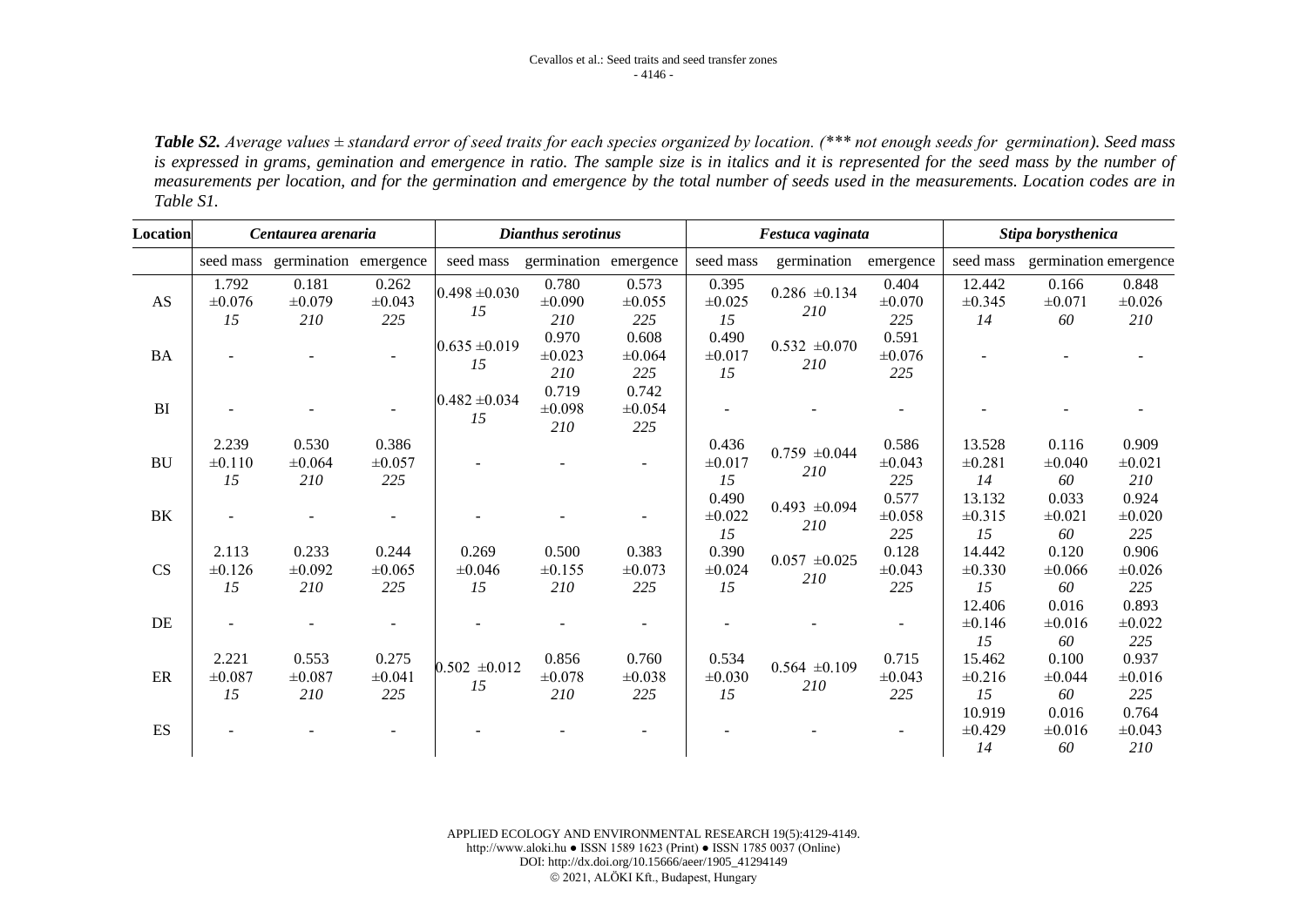*Table S2. Average values ± standard error of seed traits for each species organized by location. (\*\*\* not enough seeds for germination). Seed mass*  is expressed in grams, gemination and emergence in ratio. The sample size is in italics and it is represented for the seed mass by the number of *measurements per location, and for the germination and emergence by the total number of seeds used in the measurements. Location codes are in Table S1.*

| <b>Location</b>        | Centaurea arenaria    |                                 |                             | Dianthus serotinus      |                             |                             |                            | Festuca vaginata         |                        | Stipa borysthenica          |                            |                        |
|------------------------|-----------------------|---------------------------------|-----------------------------|-------------------------|-----------------------------|-----------------------------|----------------------------|--------------------------|------------------------|-----------------------------|----------------------------|------------------------|
|                        |                       | seed mass germination emergence |                             | seed mass               | germination emergence       |                             | seed mass                  | germination              | emergence              | seed mass                   | germination emergence      |                        |
| $\mathbf{A}\mathbf{S}$ | 1.792<br>±0.076<br>15 | 0.181<br>±0.079<br>210          | 0.262<br>$\pm 0.043$<br>225 | $0.498 \pm 0.030$<br>15 | 0.780<br>$\pm 0.090$<br>210 | 0.573<br>±0.055<br>225      | 0.395<br>$\pm 0.025$<br>15 | $0.286 \pm 0.134$<br>210 | 0.404<br>±0.070<br>225 | 12.442<br>±0.345<br>14      | 0.166<br>$\pm 0.071$<br>60 | 0.848<br>±0.026<br>210 |
| <b>BA</b>              |                       |                                 | $\sim$                      | $0.635 \pm 0.019$<br>15 | 0.970<br>$\pm 0.023$<br>210 | 0.608<br>±0.064<br>225      | 0.490<br>±0.017<br>15      | $0.532 \pm 0.070$<br>210 | 0.591<br>±0.076<br>225 |                             |                            |                        |
| BI                     |                       |                                 | $\sim$                      | $0.482 \pm 0.034$<br>15 | 0.719<br>±0.098<br>210      | 0.742<br>±0.054<br>225      |                            |                          | $\overline{a}$         |                             |                            |                        |
| <b>BU</b>              | 2.239<br>±0.110<br>15 | 0.530<br>±0.064<br>210          | 0.386<br>±0.057<br>225      |                         |                             |                             | 0.436<br>±0.017<br>15      | $0.759 \pm 0.044$<br>210 | 0.586<br>±0.043<br>225 | 13.528<br>±0.281<br>14      | 0.116<br>±0.040<br>60      | 0.909<br>±0.021<br>210 |
| BK                     |                       |                                 |                             |                         |                             |                             | 0.490<br>±0.022<br>15      | $0.493 \pm 0.094$<br>210 | 0.577<br>±0.058<br>225 | 13.132<br>±0.315<br>15      | 0.033<br>$\pm 0.021$<br>60 | 0.924<br>±0.020<br>225 |
| CS                     | 2.113<br>±0.126<br>15 | 0.233<br>±0.092<br>210          | 0.244<br>±0.065<br>225      | 0.269<br>±0.046<br>15   | 0.500<br>$\pm 0.155$<br>210 | 0.383<br>$\pm 0.073$<br>225 | 0.390<br>±0.024<br>15      | $0.057 \pm 0.025$<br>210 | 0.128<br>±0.043<br>225 | 14.442<br>±0.330<br>15      | 0.120<br>±0.066<br>60      | 0.906<br>±0.026<br>225 |
| DE                     |                       |                                 |                             |                         |                             |                             |                            |                          |                        | 12.406<br>±0.146<br>15      | 0.016<br>±0.016<br>60      | 0.893<br>±0.022<br>225 |
| ER                     | 2.221<br>±0.087<br>15 | 0.553<br>±0.087<br>210          | 0.275<br>±0.041<br>225      | $0.502 \pm 0.012$<br>15 | 0.856<br>$\pm 0.078$<br>210 | 0.760<br>±0.038<br>225      | 0.534<br>±0.030<br>15      | $0.564 \pm 0.109$<br>210 | 0.715<br>±0.043<br>225 | 15.462<br>±0.216<br>15      | 0.100<br>±0.044<br>60      | 0.937<br>±0.016<br>225 |
| ES                     |                       |                                 |                             |                         |                             |                             |                            |                          |                        | 10.919<br>$\pm 0.429$<br>14 | 0.016<br>$\pm 0.016$<br>60 | 0.764<br>±0.043<br>210 |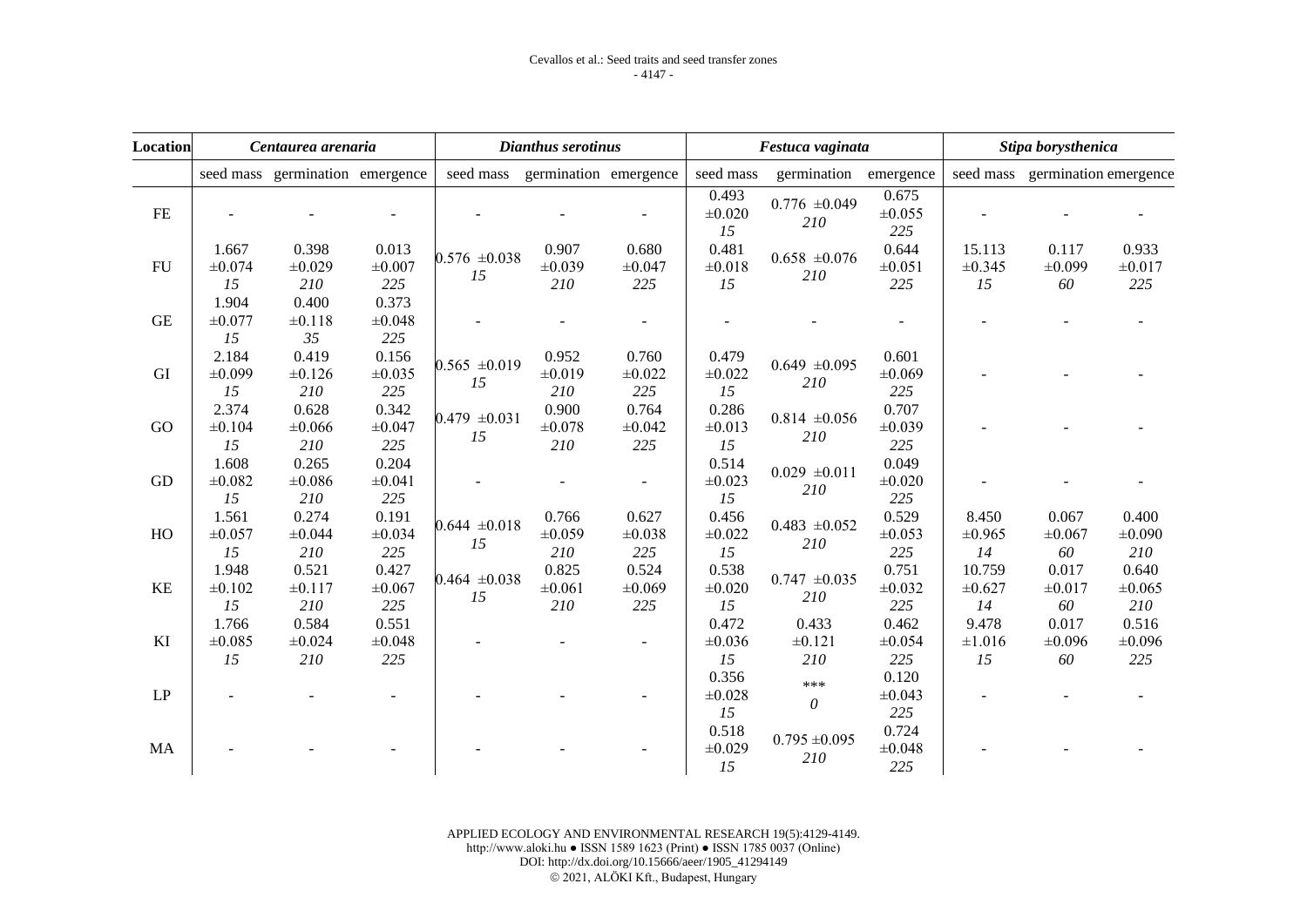| <b>Location</b>        | Centaurea arenaria    |                                 |                        |                         | Dianthus serotinus              |                             | Festuca vaginata           |                          |                             | Stipa borysthenica         |                                 |                        |
|------------------------|-----------------------|---------------------------------|------------------------|-------------------------|---------------------------------|-----------------------------|----------------------------|--------------------------|-----------------------------|----------------------------|---------------------------------|------------------------|
|                        |                       | seed mass germination emergence |                        |                         | seed mass germination emergence |                             | seed mass                  | germination              | emergence                   |                            | seed mass germination emergence |                        |
| $\rm FE$               |                       |                                 |                        |                         |                                 |                             | 0.493<br>±0.020<br>15      | $0.776 \pm 0.049$<br>210 | 0.675<br>±0.055<br>225      |                            |                                 |                        |
| FU                     | 1.667<br>±0.074<br>15 | 0.398<br>±0.029<br>210          | 0.013<br>±0.007<br>225 | $0.576 \pm 0.038$<br>15 | 0.907<br>±0.039<br>210          | 0.680<br>±0.047<br>225      | 0.481<br>$\pm 0.018$<br>15 | $0.658 \pm 0.076$<br>210 | 0.644<br>±0.051<br>225      | 15.113<br>±0.345<br>15     | 0.117<br>±0.099<br>60           | 0.933<br>±0.017<br>225 |
| GE                     | 1.904<br>±0.077<br>15 | 0.400<br>±0.118<br>35           | 0.373<br>±0.048<br>225 |                         |                                 |                             |                            |                          |                             |                            |                                 |                        |
| GI                     | 2.184<br>±0.099<br>15 | 0.419<br>±0.126<br>210          | 0.156<br>±0.035<br>225 | $0.565 \pm 0.019$<br>15 | 0.952<br>±0.019<br>210          | 0.760<br>±0.022<br>225      | 0.479<br>±0.022<br>15      | $0.649 \pm 0.095$<br>210 | 0.601<br>±0.069<br>225      |                            |                                 |                        |
| GO                     | 2.374<br>±0.104<br>15 | 0.628<br>±0.066<br>210          | 0.342<br>±0.047<br>225 | $0.479 \pm 0.031$<br>15 | 0.900<br>±0.078<br>210          | 0.764<br>±0.042<br>225      | 0.286<br>±0.013<br>15      | $0.814 \pm 0.056$<br>210 | 0.707<br>±0.039<br>225      |                            |                                 |                        |
| GD                     | 1.608<br>±0.082<br>15 | 0.265<br>±0.086<br>210          | 0.204<br>±0.041<br>225 |                         |                                 | $\blacksquare$              | 0.514<br>±0.023<br>15      | $0.029 \pm 0.011$<br>210 | 0.049<br>$\pm 0.020$<br>225 |                            |                                 |                        |
| HO                     | 1.561<br>±0.057<br>15 | 0.274<br>±0.044<br>210          | 0.191<br>±0.034<br>225 | $0.644 \pm 0.018$<br>15 | 0.766<br>±0.059<br>210          | 0.627<br>$\pm 0.038$<br>225 | 0.456<br>±0.022<br>15      | $0.483 \pm 0.052$<br>210 | 0.529<br>±0.053<br>225      | 8.450<br>±0.965<br>14      | 0.067<br>±0.067<br>60           | 0.400<br>±0.090<br>210 |
| KE                     | 1.948<br>±0.102<br>15 | 0.521<br>±0.117<br>210          | 0.427<br>±0.067<br>225 | $0.464 \pm 0.038$<br>15 | 0.825<br>±0.061<br>210          | 0.524<br>±0.069<br>225      | 0.538<br>$\pm 0.020$<br>15 | $0.747 \pm 0.035$<br>210 | 0.751<br>±0.032<br>225      | 10.759<br>±0.627<br>14     | 0.017<br>±0.017<br>60           | 0.640<br>±0.065<br>210 |
| KI                     | 1.766<br>±0.085<br>15 | 0.584<br>±0.024<br>210          | 0.551<br>±0.048<br>225 |                         |                                 |                             | 0.472<br>±0.036<br>15      | 0.433<br>±0.121<br>210   | 0.462<br>±0.054<br>225      | 9.478<br>$\pm 1.016$<br>15 | 0.017<br>±0.096<br>60           | 0.516<br>±0.096<br>225 |
| $\mathbf{L}\mathbf{P}$ |                       |                                 |                        |                         |                                 |                             | 0.356<br>±0.028<br>15      | ***<br>$\theta$          | 0.120<br>±0.043<br>225      |                            |                                 |                        |
| MA                     |                       |                                 |                        |                         |                                 |                             | 0.518<br>±0.029<br>15      | $0.795 \pm 0.095$<br>210 | 0.724<br>±0.048<br>225      |                            |                                 |                        |

APPLIED ECOLOGY AND ENVIRONMENTAL RESEARCH 19(5):4129-4149. http://www.aloki.hu ● ISSN 1589 1623 (Print) ● ISSN 1785 0037 (Online) DOI: http://dx.doi.org/10.15666/aeer/1905\_41294149 © 2021, ALÖKI Kft., Budapest, Hungary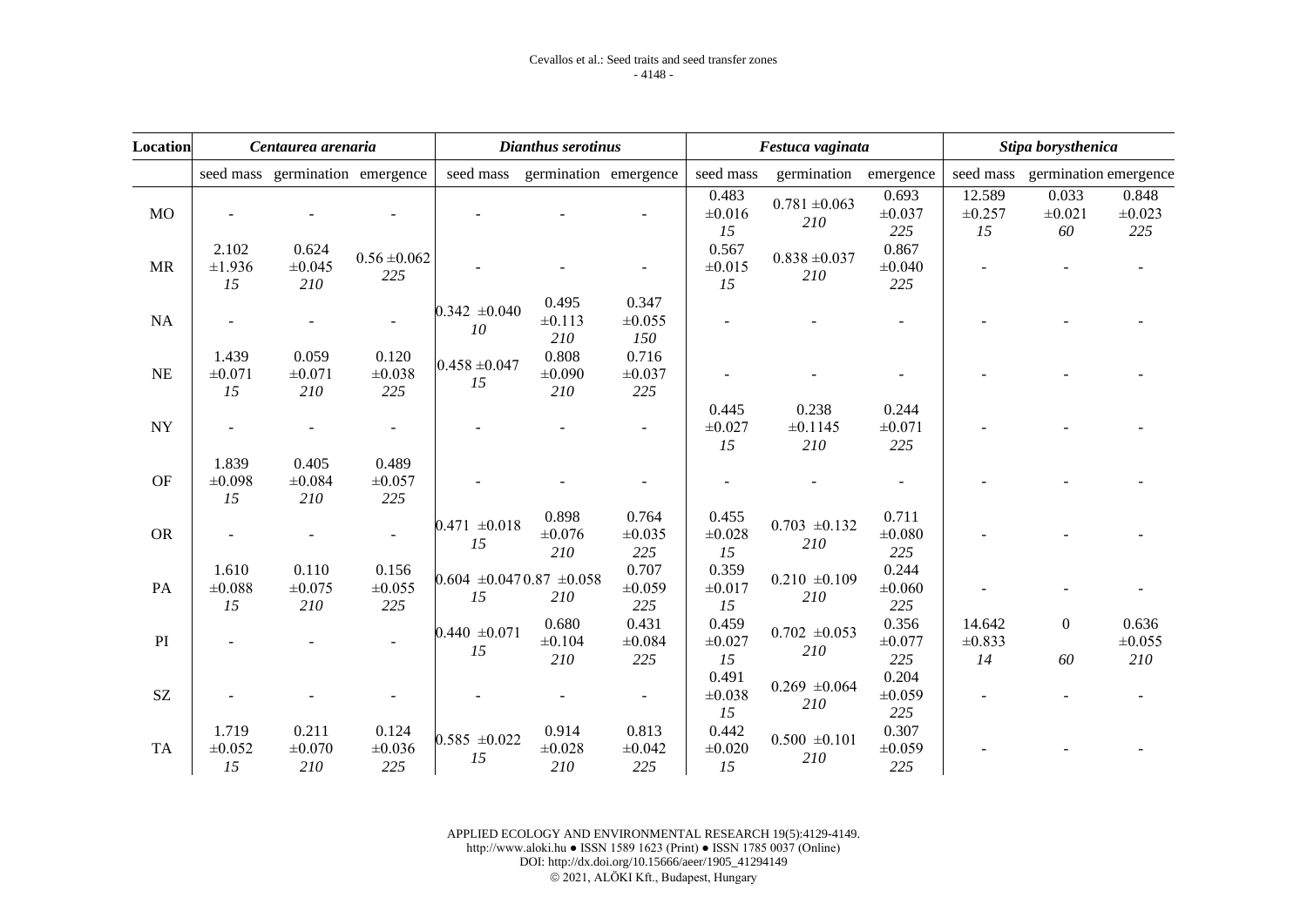| <b>Location</b>            | Centaurea arenaria         |                                 |                         |                             | Dianthus serotinus              |                             | Festuca vaginata           |                              |                             | Stipa borysthenica     |                                 |                        |
|----------------------------|----------------------------|---------------------------------|-------------------------|-----------------------------|---------------------------------|-----------------------------|----------------------------|------------------------------|-----------------------------|------------------------|---------------------------------|------------------------|
|                            |                            | seed mass germination emergence |                         |                             | seed mass germination emergence |                             | seed mass                  | germination                  | emergence                   |                        | seed mass germination emergence |                        |
| M <sub>O</sub>             |                            |                                 |                         |                             |                                 |                             | 0.483<br>±0.016<br>15      | $0.781 \pm 0.063$<br>210     | 0.693<br>$\pm 0.037$<br>225 | 12.589<br>±0.257<br>15 | 0.033<br>±0.021<br>60           | 0.848<br>±0.023<br>225 |
| <b>MR</b>                  | 2.102<br>±1.936<br>15      | 0.624<br>±0.045<br>210          | $0.56 \pm 0.062$<br>225 |                             |                                 |                             | 0.567<br>±0.015<br>15      | $0.838 \pm 0.037$<br>210     | 0.867<br>±0.040<br>225      |                        |                                 |                        |
| <b>NA</b>                  |                            |                                 |                         | $0.342 \pm 0.040$<br>10     | 0.495<br>±0.113<br>210          | 0.347<br>$\pm 0.055$<br>150 |                            |                              |                             |                        |                                 |                        |
| <b>NE</b>                  | 1.439<br>±0.071<br>15      | 0.059<br>±0.071<br>210          | 0.120<br>±0.038<br>225  | $0.458 \pm 0.047$<br>15     | 0.808<br>$\pm 0.090$<br>210     | 0.716<br>±0.037<br>225      |                            |                              |                             |                        |                                 |                        |
| <b>NY</b>                  |                            |                                 |                         |                             |                                 |                             | 0.445<br>$\pm 0.027$<br>15 | 0.238<br>$\pm 0.1145$<br>210 | 0.244<br>±0.071<br>225      |                        |                                 |                        |
| <b>OF</b>                  | 1.839<br>±0.098<br>15      | 0.405<br>±0.084<br>210          | 0.489<br>±0.057<br>225  |                             |                                 |                             |                            |                              |                             |                        |                                 |                        |
| <b>OR</b>                  |                            |                                 |                         | $0.471 \pm 0.018$<br>15     | 0.898<br>±0.076<br>210          | 0.764<br>±0.035<br>225      | 0.455<br>±0.028<br>15      | $0.703 \pm 0.132$<br>210     | 0.711<br>$\pm 0.080$<br>225 |                        |                                 |                        |
| PA                         | 1.610<br>$\pm 0.088$<br>15 | 0.110<br>±0.075<br>210          | 0.156<br>±0.055<br>225  | $0.604 \pm 0.0470.87$<br>15 | ±0.058<br>210                   | 0.707<br>±0.059<br>225      | 0.359<br>±0.017<br>15      | $0.210 \pm 0.109$<br>210     | 0.244<br>±0.060<br>225      |                        |                                 |                        |
| PI                         |                            |                                 |                         | $0.440 \pm 0.071$<br>15     | 0.680<br>±0.104<br>210          | 0.431<br>±0.084<br>225      | 0.459<br>±0.027<br>15      | $0.702 \pm 0.053$<br>210     | 0.356<br>$\pm 0.077$<br>225 | 14.642<br>±0.833<br>14 | $\Omega$<br>60                  | 0.636<br>±0.055<br>210 |
| $\ensuremath{\mathrm{SZ}}$ |                            |                                 |                         |                             |                                 |                             | 0.491<br>±0.038<br>15      | $0.269 \pm 0.064$<br>210     | 0.204<br>±0.059<br>225      |                        |                                 |                        |
| <b>TA</b>                  | 1.719<br>±0.052<br>15      | 0.211<br>±0.070<br>210          | 0.124<br>±0.036<br>225  | $0.585 \pm 0.022$<br>15     | 0.914<br>±0.028<br>210          | 0.813<br>±0.042<br>225      | 0.442<br>±0.020<br>15      | $0.500 \pm 0.101$<br>210     | 0.307<br>±0.059<br>225      |                        |                                 |                        |